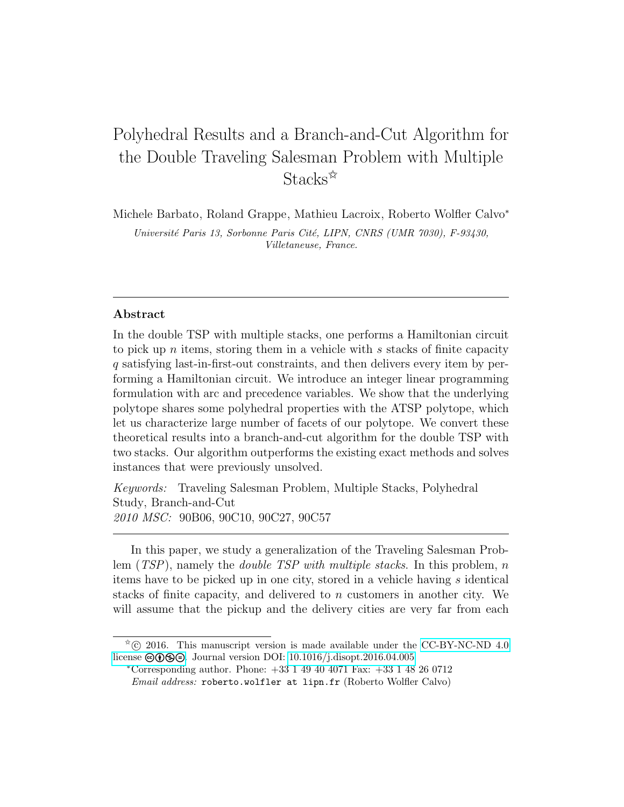# Polyhedral Results and a Branch-and-Cut Algorithm for the Double Traveling Salesman Problem with Multiple Stacks<sup>\*</sup>

Michele Barbato, Roland Grappe, Mathieu Lacroix, Roberto Wolfler Calvo<sup>∗</sup> Université Paris 13, Sorbonne Paris Cité, LIPN, CNRS (UMR 7030), F-93430, Villetaneuse, France.

#### Abstract

In the double TSP with multiple stacks, one performs a Hamiltonian circuit to pick up n items, storing them in a vehicle with s stacks of finite capacity q satisfying last-in-first-out constraints, and then delivers every item by performing a Hamiltonian circuit. We introduce an integer linear programming formulation with arc and precedence variables. We show that the underlying polytope shares some polyhedral properties with the ATSP polytope, which let us characterize large number of facets of our polytope. We convert these theoretical results into a branch-and-cut algorithm for the double TSP with two stacks. Our algorithm outperforms the existing exact methods and solves instances that were previously unsolved.

Keywords: Traveling Salesman Problem, Multiple Stacks, Polyhedral Study, Branch-and-Cut 2010 MSC: 90B06, 90C10, 90C27, 90C57

In this paper, we study a generalization of the Traveling Salesman Problem  $(TSP)$ , namely the *double TSP with multiple stacks*. In this problem, n items have to be picked up in one city, stored in a vehicle having s identical stacks of finite capacity, and delivered to n customers in another city. We will assume that the pickup and the delivery cities are very far from each

 $\rm \tilde{C}$  2016. This manuscript version is made available under the [CC-BY-NC-ND 4.0](http://creativecommons.org/licenses/by-nc-nd/4.0/) license  $\Theta$  $\Theta$  $\Theta$ . Journal version DOI: [10.1016/j.disopt.2016.04.005](https://doi.org/10.1016/j.disopt.2016.04.005)

<sup>∗</sup>Corresponding author. Phone: +33 1 49 40 4071 Fax: +33 1 48 26 0712 Email address: roberto.wolfler at lipn.fr (Roberto Wolfler Calvo)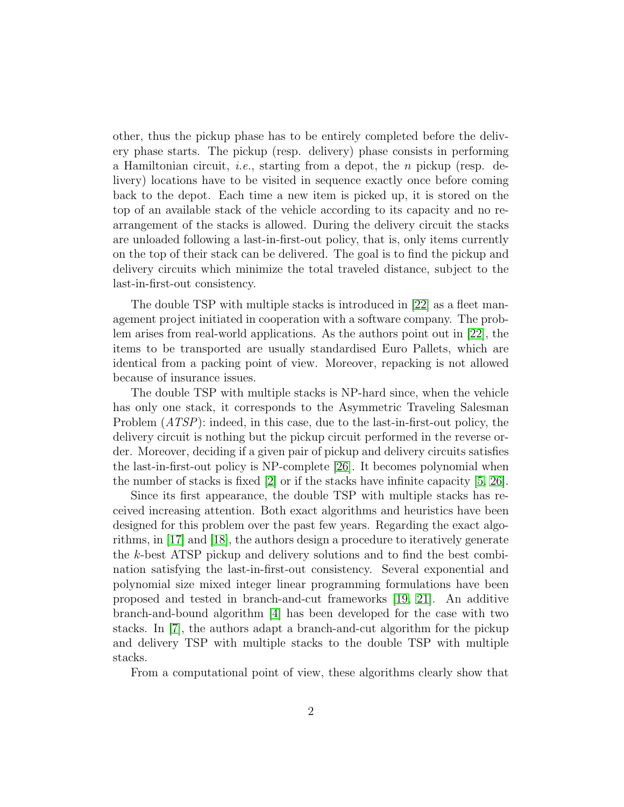other, thus the pickup phase has to be entirely completed before the delivery phase starts. The pickup (resp. delivery) phase consists in performing a Hamiltonian circuit, *i.e.*, starting from a depot, the *n* pickup (resp. delivery) locations have to be visited in sequence exactly once before coming back to the depot. Each time a new item is picked up, it is stored on the top of an available stack of the vehicle according to its capacity and no rearrangement of the stacks is allowed. During the delivery circuit the stacks are unloaded following a last-in-first-out policy, that is, only items currently on the top of their stack can be delivered. The goal is to find the pickup and delivery circuits which minimize the total traveled distance, subject to the last-in-first-out consistency.

The double TSP with multiple stacks is introduced in [\[22\]](#page-19-0) as a fleet management project initiated in cooperation with a software company. The problem arises from real-world applications. As the authors point out in [\[22\]](#page-19-0), the items to be transported are usually standardised Euro Pallets, which are identical from a packing point of view. Moreover, repacking is not allowed because of insurance issues.

The double TSP with multiple stacks is NP-hard since, when the vehicle has only one stack, it corresponds to the Asymmetric Traveling Salesman Problem (ATSP): indeed, in this case, due to the last-in-first-out policy, the delivery circuit is nothing but the pickup circuit performed in the reverse order. Moreover, deciding if a given pair of pickup and delivery circuits satisfies the last-in-first-out policy is NP-complete [\[26\]](#page-19-1). It becomes polynomial when the number of stacks is fixed [\[2\]](#page-17-0) or if the stacks have infinite capacity [\[5,](#page-17-1) [26\]](#page-19-1).

Since its first appearance, the double TSP with multiple stacks has received increasing attention. Both exact algorithms and heuristics have been designed for this problem over the past few years. Regarding the exact algorithms, in [\[17\]](#page-18-0) and [\[18\]](#page-18-1), the authors design a procedure to iteratively generate the k-best ATSP pickup and delivery solutions and to find the best combination satisfying the last-in-first-out consistency. Several exponential and polynomial size mixed integer linear programming formulations have been proposed and tested in branch-and-cut frameworks [\[19,](#page-19-2) [21\]](#page-19-3). An additive branch-and-bound algorithm [\[4\]](#page-17-2) has been developed for the case with two stacks. In [\[7\]](#page-18-2), the authors adapt a branch-and-cut algorithm for the pickup and delivery TSP with multiple stacks to the double TSP with multiple stacks.

From a computational point of view, these algorithms clearly show that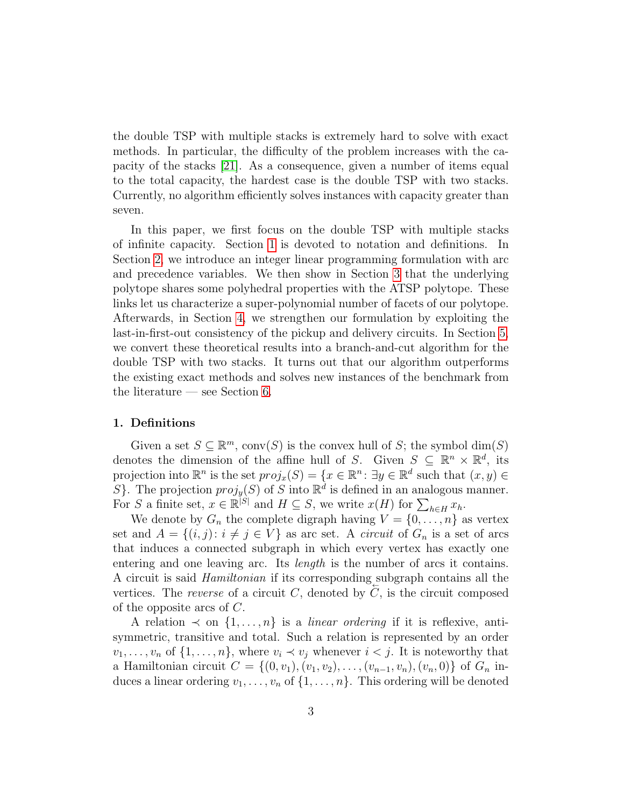the double TSP with multiple stacks is extremely hard to solve with exact methods. In particular, the difficulty of the problem increases with the capacity of the stacks [\[21\]](#page-19-3). As a consequence, given a number of items equal to the total capacity, the hardest case is the double TSP with two stacks. Currently, no algorithm efficiently solves instances with capacity greater than seven.

In this paper, we first focus on the double TSP with multiple stacks of infinite capacity. Section [1](#page-2-0) is devoted to notation and definitions. In Section [2,](#page-3-0) we introduce an integer linear programming formulation with arc and precedence variables. We then show in Section [3](#page-5-0) that the underlying polytope shares some polyhedral properties with the ATSP polytope. These links let us characterize a super-polynomial number of facets of our polytope. Afterwards, in Section [4,](#page-8-0) we strengthen our formulation by exploiting the last-in-first-out consistency of the pickup and delivery circuits. In Section [5,](#page-9-0) we convert these theoretical results into a branch-and-cut algorithm for the double TSP with two stacks. It turns out that our algorithm outperforms the existing exact methods and solves new instances of the benchmark from the literature — see Section [6.](#page-12-0)

#### <span id="page-2-0"></span>1. Definitions

Given a set  $S \subseteq \mathbb{R}^m$ , conv $(S)$  is the convex hull of S; the symbol  $\dim(S)$ denotes the dimension of the affine hull of S. Given  $S \subseteq \mathbb{R}^n \times \mathbb{R}^d$ , its projection into  $\mathbb{R}^n$  is the set  $proj_x(S) = \{x \in \mathbb{R}^n : \exists y \in \mathbb{R}^d \text{ such that } (x, y) \in$ S}. The projection  $proj_y(S)$  of S into  $\mathbb{R}^d$  is defined in an analogous manner. For S a finite set,  $x \in \mathbb{R}^{|S|}$  and  $H \subseteq S$ , we write  $x(H)$  for  $\sum_{h \in H} x_h$ .

We denote by  $G_n$  the complete digraph having  $V = \{0, \ldots, n\}$  as vertex set and  $A = \{(i, j): i \neq j \in V\}$  as arc set. A *circuit* of  $G_n$  is a set of arcs that induces a connected subgraph in which every vertex has exactly one entering and one leaving arc. Its length is the number of arcs it contains. A circuit is said *Hamiltonian* if its corresponding subgraph contains all the vertices. The reverse of a circuit  $C$ , denoted by  $C$ , is the circuit composed of the opposite arcs of C.

A relation  $\prec$  on  $\{1,\ldots,n\}$  is a *linear ordering* if it is reflexive, antisymmetric, transitive and total. Such a relation is represented by an order  $v_1, \ldots, v_n$  of  $\{1, \ldots, n\}$ , where  $v_i \prec v_j$  whenever  $i < j$ . It is noteworthy that a Hamiltonian circuit  $C = \{(0, v_1), (v_1, v_2), \ldots, (v_{n-1}, v_n), (v_n, 0)\}\$  of  $G_n$  induces a linear ordering  $v_1, \ldots, v_n$  of  $\{1, \ldots, n\}$ . This ordering will be denoted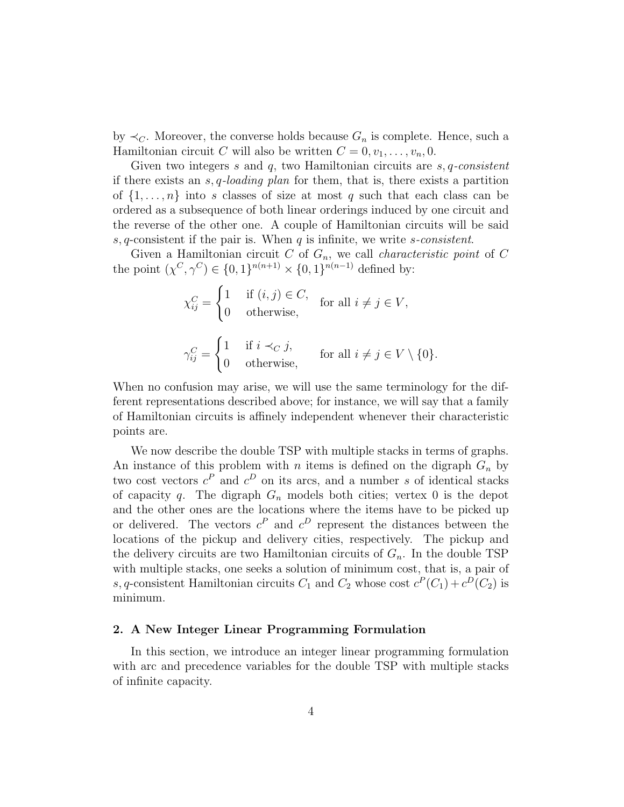by  $\prec_C$ . Moreover, the converse holds because  $G_n$  is complete. Hence, such a Hamiltonian circuit C will also be written  $C = 0, v_1, \ldots, v_n, 0$ .

Given two integers s and  $q$ , two Hamiltonian circuits are  $s, q$ -consistent if there exists an s, q-loading plan for them, that is, there exists a partition of  $\{1,\ldots,n\}$  into s classes of size at most q such that each class can be ordered as a subsequence of both linear orderings induced by one circuit and the reverse of the other one. A couple of Hamiltonian circuits will be said s, q-consistent if the pair is. When  $q$  is infinite, we write s-consistent.

Given a Hamiltonian circuit  $C$  of  $G_n$ , we call *characteristic point* of  $C$ the point  $(\chi^C, \gamma^C) \in \{0, 1\}^{n(n+1)} \times \{0, 1\}^{n(n-1)}$  defined by:

$$
\chi_{ij}^C = \begin{cases} 1 & \text{if } (i,j) \in C, \\ 0 & \text{otherwise,} \end{cases} \quad \text{for all } i \neq j \in V,
$$

$$
\gamma_{ij}^C = \begin{cases} 1 & \text{if } i \prec_C j, \\ 0 & \text{otherwise,} \end{cases} \quad \text{for all } i \neq j \in V \setminus \{0\}.
$$

When no confusion may arise, we will use the same terminology for the different representations described above; for instance, we will say that a family of Hamiltonian circuits is affinely independent whenever their characteristic points are.

We now describe the double TSP with multiple stacks in terms of graphs. An instance of this problem with n items is defined on the digraph  $G_n$  by two cost vectors  $c^P$  and  $c^D$  on its arcs, and a number s of identical stacks of capacity q. The digraph  $G_n$  models both cities; vertex 0 is the depot and the other ones are the locations where the items have to be picked up or delivered. The vectors  $c^P$  and  $c^D$  represent the distances between the locations of the pickup and delivery cities, respectively. The pickup and the delivery circuits are two Hamiltonian circuits of  $G_n$ . In the double TSP with multiple stacks, one seeks a solution of minimum cost, that is, a pair of s, q-consistent Hamiltonian circuits  $C_1$  and  $C_2$  whose cost  $c^P(C_1) + c^D(C_2)$  is minimum.

#### <span id="page-3-0"></span>2. A New Integer Linear Programming Formulation

In this section, we introduce an integer linear programming formulation with arc and precedence variables for the double TSP with multiple stacks of infinite capacity.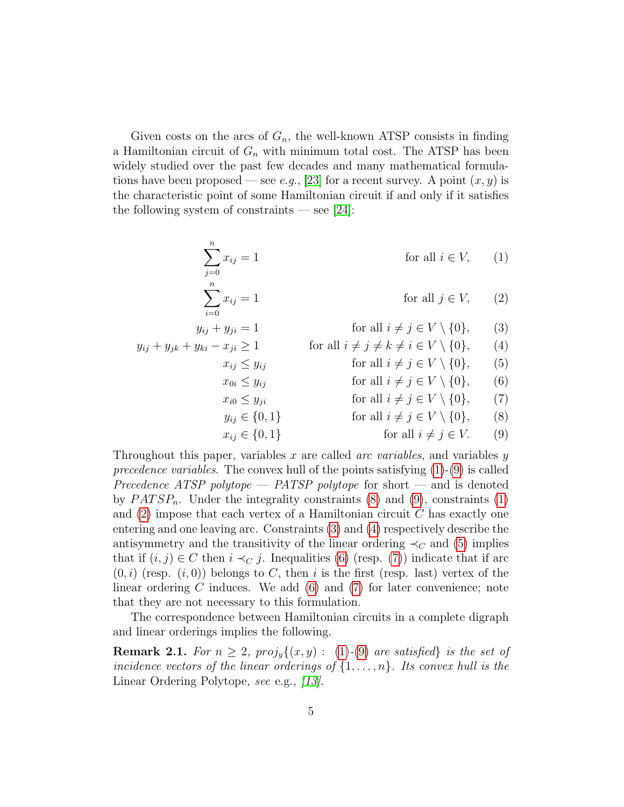Given costs on the arcs of  $G_n$ , the well-known ATSP consists in finding a Hamiltonian circuit of  $G_n$  with minimum total cost. The ATSP has been widely studied over the past few decades and many mathematical formula-tions have been proposed — see e.g., [\[23\]](#page-19-4) for a recent survey. A point  $(x, y)$  is the characteristic point of some Hamiltonian circuit if and only if it satisfies the following system of constraints — see [\[24\]](#page-19-5):

<span id="page-4-8"></span><span id="page-4-7"></span><span id="page-4-6"></span><span id="page-4-5"></span><span id="page-4-4"></span><span id="page-4-3"></span><span id="page-4-0"></span>
$$
\sum_{j=0}^{n} x_{ij} = 1 \qquad \text{for all } i \in V, \qquad (1)
$$
\n
$$
\sum_{i=0}^{n} x_{ij} = 1 \qquad \text{for all } j \in V, \qquad (2)
$$
\n
$$
y_{ij} + y_{ji} = 1 \qquad \text{for all } i \neq j \in V \setminus \{0\}, \qquad (3)
$$
\n
$$
y_{ij} + y_{jk} + y_{ki} - x_{ji} \ge 1 \qquad \text{for all } i \neq j \neq k \neq i \in V \setminus \{0\}, \qquad (4)
$$
\n
$$
x_{ij} \le y_{ij} \qquad \text{for all } i \neq j \in V \setminus \{0\}, \qquad (5)
$$
\n
$$
x_{i0} \le y_{ji} \qquad \text{for all } i \neq j \in V \setminus \{0\}, \qquad (6)
$$
\n
$$
y_{ij} \in \{0, 1\} \qquad \text{for all } i \neq j \in V \setminus \{0\}, \qquad (7)
$$
\n
$$
y_{ij} \in \{0, 1\} \qquad \text{for all } i \neq j \in V \setminus \{0\}, \qquad (8)
$$
\n
$$
x_{ij} \in \{0, 1\} \qquad \text{for all } i \neq j \in V. \qquad (9)
$$

<span id="page-4-2"></span><span id="page-4-1"></span>Throughout this paper, variables x are called *arc variables*, and variables  $y$ precedence variables. The convex hull of the points satisfying  $(1)-(9)$  $(1)-(9)$  $(1)-(9)$  is called Precedence ATSP polytope — PATSP polytope for short — and is denoted by  $PATSP_n$ . Under the integrality constraints [\(8\)](#page-4-2) and [\(9\)](#page-4-1), constraints [\(1\)](#page-4-0) and  $(2)$  impose that each vertex of a Hamiltonian circuit C has exactly one entering and one leaving arc. Constraints [\(3\)](#page-4-4) and [\(4\)](#page-4-5) respectively describe the antisymmetry and the transitivity of the linear ordering  $\prec_C$  and [\(5\)](#page-4-6) implies that if  $(i, j) \in C$  then  $i \prec_C j$ . Inequalities [\(6\)](#page-4-7) (resp. [\(7\)](#page-4-8)) indicate that if arc  $(0, i)$  (resp.  $(i, 0)$ ) belongs to C, then i is the first (resp. last) vertex of the linear ordering  $C$  induces. We add  $(6)$  and  $(7)$  for later convenience; note that they are not necessary to this formulation.

The correspondence between Hamiltonian circuits in a complete digraph and linear orderings implies the following.

<span id="page-4-9"></span>**Remark 2.1.** For  $n \geq 2$ ,  $proj_y\{(x, y) : (1)-(9)$  $proj_y\{(x, y) : (1)-(9)$  $proj_y\{(x, y) : (1)-(9)$  $proj_y\{(x, y) : (1)-(9)$  are satisfied is the set of incidence vectors of the linear orderings of  $\{1, \ldots, n\}$ . Its convex hull is the Linear Ordering Polytope, see e.g., [\[13\]](#page-18-3).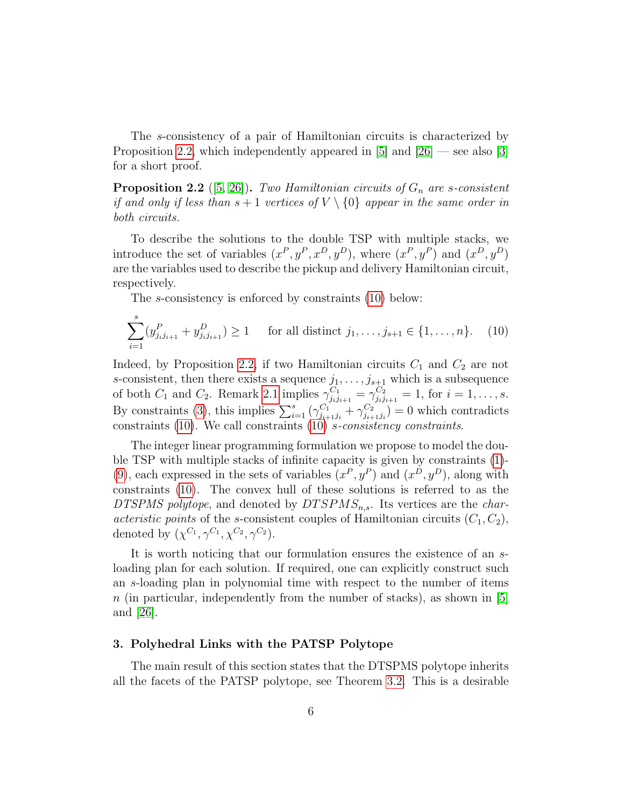The s-consistency of a pair of Hamiltonian circuits is characterized by Proposition [2.2,](#page-5-1) which independently appeared in  $[5]$  and  $[26]$  — see also  $[3]$ for a short proof.

<span id="page-5-1"></span>**Proposition 2.2** ([\[5,](#page-17-1) [26\]](#page-19-1)). Two Hamiltonian circuits of  $G_n$  are s-consistent if and only if less than  $s + 1$  vertices of  $V \setminus \{0\}$  appear in the same order in both circuits.

To describe the solutions to the double TSP with multiple stacks, we introduce the set of variables  $(x^P, y^P, x^D, y^D)$ , where  $(x^P, y^P)$  and  $(x^D, y^D)$ are the variables used to describe the pickup and delivery Hamiltonian circuit, respectively.

<span id="page-5-2"></span>The s-consistency is enforced by constraints [\(10\)](#page-5-2) below:

$$
\sum_{i=1}^{s} (y_{j_{i}j_{i+1}}^{P} + y_{j_{i}j_{i+1}}^{D}) \ge 1 \quad \text{for all distinct } j_1, \dots, j_{s+1} \in \{1, \dots, n\}. \tag{10}
$$

Indeed, by Proposition [2.2,](#page-5-1) if two Hamiltonian circuits  $C_1$  and  $C_2$  are not s-consistent, then there exists a sequence  $j_1, \ldots, j_{s+1}$  which is a subsequence of both  $C_1$  and  $C_2$ . Remark [2.1](#page-4-9) implies  $\gamma_{j_i j_{i+1}}^{C_1} = \gamma_{j_i j_{i+1}}^{C_2} = 1$ , for  $i = 1, ..., s$ . By constraints [\(3\)](#page-4-4), this implies  $\sum_{i=1}^{s} (\gamma_{j_{i+1}j_i}^{C_1} + \gamma_{j_{i+1}j_i}^{C_2})$  $\binom{C_2}{j_{i+1}j_i} = 0$  which contradicts constraints [\(10\)](#page-5-2). We call constraints [\(10\)](#page-5-2) s-consistency constraints.

The integer linear programming formulation we propose to model the double TSP with multiple stacks of infinite capacity is given by constraints [\(1\)](#page-4-0)- [\(9\)](#page-4-1), each expressed in the sets of variables  $(x^P, y^P)$  and  $(x^D, y^D)$ , along with constraints [\(10\)](#page-5-2). The convex hull of these solutions is referred to as the DTSPMS polytope, and denoted by  $DTSPMS_{n,s}$ . Its vertices are the *char*acteristic points of the s-consistent couples of Hamiltonian circuits  $(C_1, C_2)$ , denoted by  $(\chi^{C_1}, \gamma^{C_1}, \chi^{C_2}, \gamma^{C_2}).$ 

It is worth noticing that our formulation ensures the existence of an sloading plan for each solution. If required, one can explicitly construct such an s-loading plan in polynomial time with respect to the number of items  $n$  (in particular, independently from the number of stacks), as shown in [\[5\]](#page-17-1) and [\[26\]](#page-19-1).

#### <span id="page-5-0"></span>3. Polyhedral Links with the PATSP Polytope

The main result of this section states that the DTSPMS polytope inherits all the facets of the PATSP polytope, see Theorem [3.2.](#page-6-0) This is a desirable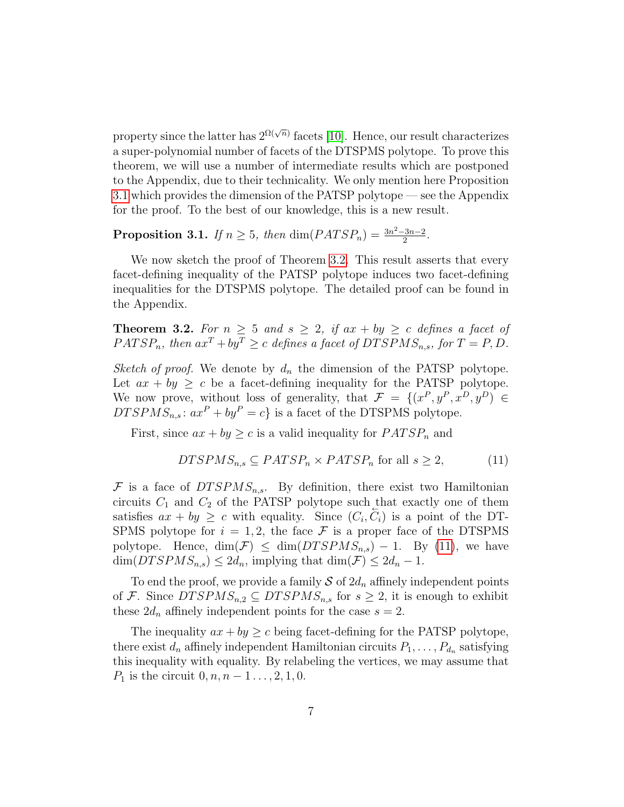property since the latter has  $2^{\Omega(\sqrt{n})}$  facets [\[10\]](#page-18-4). Hence, our result characterizes a super-polynomial number of facets of the DTSPMS polytope. To prove this theorem, we will use a number of intermediate results which are postponed to the Appendix, due to their technicality. We only mention here Proposition [3.1](#page-6-1) which provides the dimension of the PATSP polytope — see the Appendix for the proof. To the best of our knowledge, this is a new result.

<span id="page-6-1"></span>**Proposition 3.1.** If  $n \geq 5$ , then  $\dim(PATSP_n) = \frac{3n^2 - 3n - 2}{2}$  $\frac{3n-2}{2}$ .

We now sketch the proof of Theorem [3.2.](#page-6-0) This result asserts that every facet-defining inequality of the PATSP polytope induces two facet-defining inequalities for the DTSPMS polytope. The detailed proof can be found in the Appendix.

<span id="page-6-0"></span>**Theorem 3.2.** For  $n \geq 5$  and  $s \geq 2$ , if  $ax + by \geq c$  defines a facet of  $PATSP_n$ , then  $ax^T + by^T \ge c$  defines a facet of  $DTSPMS_{n,s}$ , for  $T = P, D$ .

Sketch of proof. We denote by  $d_n$  the dimension of the PATSP polytope. Let  $ax + by \geq c$  be a facet-defining inequality for the PATSP polytope. We now prove, without loss of generality, that  $\mathcal{F} = \{(x^P, y^P, x^D, y^D) \in$  $DTSPMS_{n,s}: ax^P + by^P = c$  is a facet of the DTSPMS polytope.

First, since  $ax + by \geq c$  is a valid inequality for  $PATSP_n$  and

<span id="page-6-2"></span>
$$
DTSPMS_{n,s} \subseteq PATSP_n \times PATSP_n \text{ for all } s \ge 2,
$$
 (11)

 $F$  is a face of  $DTSPMS_{n,s}$ . By definition, there exist two Hamiltonian circuits  $C_1$  and  $C_2$  of the PATSP polytope such that exactly one of them satisfies  $ax + by \geq c$  with equality. Since  $(C_i, \overline{C_i})$  is a point of the DT-SPMS polytope for  $i = 1, 2$ , the face  $\mathcal F$  is a proper face of the DTSPMS polytope. Hence,  $\dim(\mathcal{F}) \leq \dim(DTSPMS_{n,s}) - 1$ . By [\(11\)](#page-6-2), we have  $\dim(DTSPMS_{n,s}) \leq 2d_n$ , implying that  $\dim(\mathcal{F}) \leq 2d_n - 1$ .

To end the proof, we provide a family  $S$  of  $2d_n$  affinely independent points of F. Since  $DTSPMS_{n,2} \subseteq DTSPMS_{n,s}$  for  $s \geq 2$ , it is enough to exhibit these  $2d_n$  affinely independent points for the case  $s = 2$ .

The inequality  $ax + by \geq c$  being facet-defining for the PATSP polytope, there exist  $d_n$  affinely independent Hamiltonian circuits  $P_1, \ldots, P_{d_n}$  satisfying this inequality with equality. By relabeling the vertices, we may assume that  $P_1$  is the circuit  $0, n, n-1, \ldots, 2, 1, 0$ .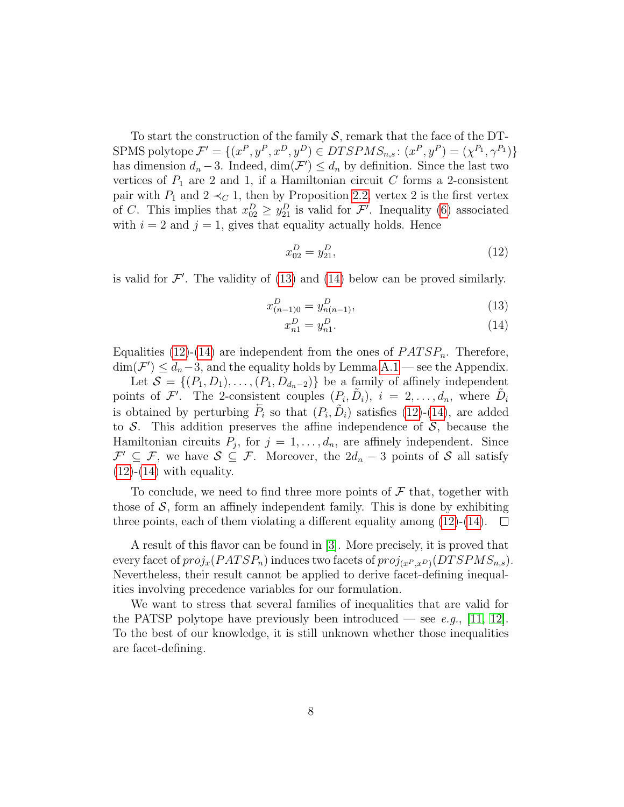To start the construction of the family  $S$ , remark that the face of the DT-SPMS polytope  $\mathcal{F}' = \{(x^P, y^P, x^D, y^D) \in DTSPMS_{n,s}: (x^P, y^P) = (\chi^{P_1}, \gamma^{P_1})\}$ has dimension  $d_n - 3$ . Indeed,  $\dim(\mathcal{F}') \leq d_n$  by definition. Since the last two vertices of  $P_1$  are 2 and 1, if a Hamiltonian circuit C forms a 2-consistent pair with  $P_1$  and  $2 \prec_C 1$ , then by Proposition [2.2,](#page-5-1) vertex 2 is the first vertex of C. This implies that  $x_{02}^D \ge y_{21}^D$  is valid for  $\mathcal{F}'$ . Inequality [\(6\)](#page-4-7) associated with  $i = 2$  and  $j = 1$ , gives that equality actually holds. Hence

<span id="page-7-2"></span>
$$
x_{02}^D = y_{21}^D,\tag{12}
$$

is valid for  $\mathcal{F}'$ . The validity of [\(13\)](#page-7-0) and [\(14\)](#page-7-1) below can be proved similarly.

$$
x_{(n-1)0}^D = y_{n(n-1)}^D,\tag{13}
$$

<span id="page-7-1"></span><span id="page-7-0"></span>
$$
x_{n1}^D = y_{n1}^D. \t\t(14)
$$

Equalities [\(12\)](#page-7-2)-[\(14\)](#page-7-1) are independent from the ones of  $PATSP_n$ . Therefore,  $\dim(\mathcal{F}') \leq d_n-3$ , and the equality holds by Lemma [A.1](#page-21-0) — see the Appendix.

Let  $S = \{(P_1, D_1), \ldots, (P_1, D_{d_n-2})\}$  be a family of affinely independent points of F'. The 2-consistent couples  $(P_i, \tilde{D}_i)$ ,  $i = 2, \ldots, d_n$ , where  $\tilde{D}_i$ is obtained by perturbing  $\overleftarrow{P}_i$  so that  $(P_i, \overrightarrow{D}_i)$  satisfies  $(12)-(14)$  $(12)-(14)$  $(12)-(14)$ , are added to  $S$ . This addition preserves the affine independence of  $S$ , because the Hamiltonian circuits  $P_j$ , for  $j = 1, \ldots, d_n$ , are affinely independent. Since  $\mathcal{F}' \subseteq \mathcal{F}$ , we have  $\mathcal{S} \subseteq \mathcal{F}$ . Moreover, the  $2d_n - 3$  points of  $\mathcal{S}$  all satisfy  $(12)-(14)$  $(12)-(14)$  $(12)-(14)$  with equality.

To conclude, we need to find three more points of  $\mathcal F$  that, together with those of  $S$ , form an affinely independent family. This is done by exhibiting three points, each of them violating a different equality among  $(12)-(14)$  $(12)-(14)$  $(12)-(14)$ .  $\Box$ 

A result of this flavor can be found in [\[3\]](#page-17-3). More precisely, it is proved that every facet of  $proj_x(PATSP_n)$  induces two facets of  $proj_{(x^P,x^D)}(DTSPMS_{n,s}).$ Nevertheless, their result cannot be applied to derive facet-defining inequalities involving precedence variables for our formulation.

We want to stress that several families of inequalities that are valid for the PATSP polytope have previously been introduced — see e.g., [\[11,](#page-18-5) [12\]](#page-18-6). To the best of our knowledge, it is still unknown whether those inequalities are facet-defining.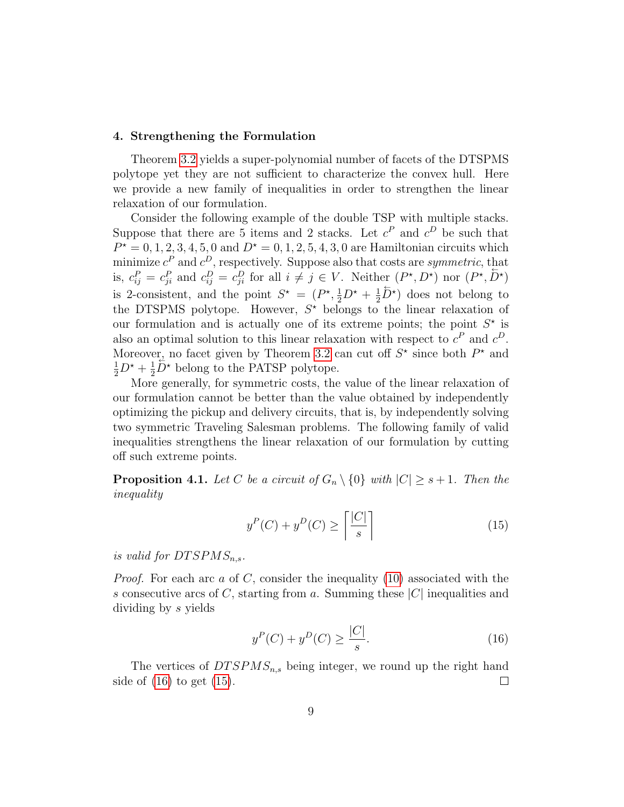#### <span id="page-8-0"></span>4. Strengthening the Formulation

Theorem [3.2](#page-6-0) yields a super-polynomial number of facets of the DTSPMS polytope yet they are not sufficient to characterize the convex hull. Here we provide a new family of inequalities in order to strengthen the linear relaxation of our formulation.

Consider the following example of the double TSP with multiple stacks. Suppose that there are 5 items and 2 stacks. Let  $c^P$  and  $c^D$  be such that  $P^* = 0, 1, 2, 3, 4, 5, 0$  and  $D^* = 0, 1, 2, 5, 4, 3, 0$  are Hamiltonian circuits which minimize  $c^P$  and  $c^D$ , respectively. Suppose also that costs are *symmetric*, that is,  $c_{ij}^P = c_{ji}^P$  and  $c_{ij}^D = c_{ji}^D$  for all  $i \neq j \in V$ . Neither  $(P^{\star}, D^{\star})$  nor  $(P^{\star}, D^{\star})$ is 2-consistent, and the point  $S^* = (P^*, \frac{1}{2}D^* + \frac{1}{2}$ 2  $\overleftrightarrow{D}^*$  does not belong to the DTSPMS polytope. However,  $S^*$  belongs to the linear relaxation of our formulation and is actually one of its extreme points; the point  $S^*$  is also an optimal solution to this linear relaxation with respect to  $c^P$  and  $c^D$ . Moreover, no facet given by Theorem [3.2](#page-6-0) can cut off  $S^*$  since both  $P^*$  and  $\frac{1}{2}D^* + \frac{1}{2}$  $\frac{1}{2}\overline{D}^*$  belong to the PATSP polytope.

More generally, for symmetric costs, the value of the linear relaxation of our formulation cannot be better than the value obtained by independently optimizing the pickup and delivery circuits, that is, by independently solving two symmetric Traveling Salesman problems. The following family of valid inequalities strengthens the linear relaxation of our formulation by cutting off such extreme points.

**Proposition 4.1.** Let C be a circuit of  $G_n \setminus \{0\}$  with  $|C| \geq s+1$ . Then the inequality

<span id="page-8-2"></span>
$$
y^{P}(C) + y^{D}(C) \ge \left\lceil \frac{|C|}{s} \right\rceil \tag{15}
$$

is valid for  $DTSPMS_{n,s}$ .

*Proof.* For each arc a of C, consider the inequality [\(10\)](#page-5-2) associated with the s consecutive arcs of C, starting from a. Summing these  $|C|$  inequalities and dividing by s yields

<span id="page-8-1"></span>
$$
y^{P}(C) + y^{D}(C) \ge \frac{|C|}{s}.
$$
\n(16)

The vertices of  $DTSPMS_{n,s}$  being integer, we round up the right hand side of  $(16)$  to get  $(15)$ .  $\Box$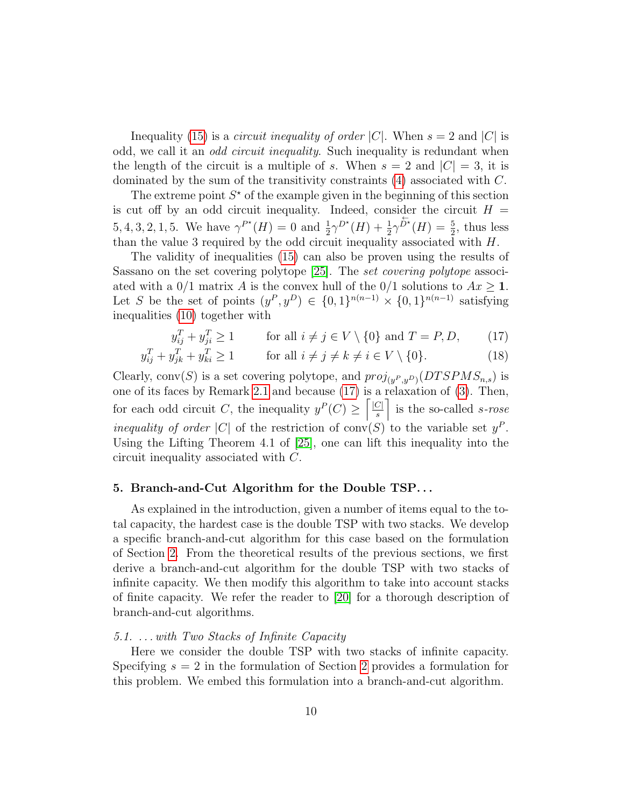Inequality [\(15\)](#page-8-2) is a *circuit inequality of order* |C|. When  $s = 2$  and |C| is odd, we call it an *odd circuit inequality*. Such inequality is redundant when the length of the circuit is a multiple of s. When  $s = 2$  and  $|C| = 3$ , it is dominated by the sum of the transitivity constraints [\(4\)](#page-4-5) associated with C.

The extreme point  $S^*$  of the example given in the beginning of this section is cut off by an odd circuit inequality. Indeed, consider the circuit  $H =$ 5, 4, 3, 2, 1, 5. We have  $\gamma^{P^*}(H) = 0$  and  $\frac{1}{2}\gamma^{D^*}(H) + \frac{1}{2}\gamma^{D^*}(H) = \frac{5}{2}$ , thus less than the value 3 required by the odd circuit inequality associated with  $H$ .

The validity of inequalities [\(15\)](#page-8-2) can also be proven using the results of Sassano on the set covering polytope [\[25\]](#page-19-6). The set covering polytope associated with a 0/1 matrix A is the convex hull of the 0/1 solutions to  $Ax \ge 1$ . Let S be the set of points  $(y^P, y^D) \in \{0, 1\}^{n(n-1)} \times \{0, 1\}^{n(n-1)}$  satisfying inequalities [\(10\)](#page-5-2) together with

<span id="page-9-1"></span>
$$
y_{ij}^T + y_{ji}^T \ge 1 \qquad \text{for all } i \ne j \in V \setminus \{0\} \text{ and } T = P, D, \qquad (17)
$$

$$
y_{ij}^T + y_{jk}^T + y_{ki}^T \ge 1 \qquad \text{for all } i \ne j \ne k \ne i \in V \setminus \{0\}. \tag{18}
$$

Clearly, conv $(S)$  is a set covering polytope, and  $proj_{(y^P,y^D)}(DTSPMS_{n,s})$  is one of its faces by Remark [2.1](#page-4-9) and because [\(17\)](#page-9-1) is a relaxation of [\(3\)](#page-4-4). Then, for each odd circuit C, the inequality  $y^P(C) \geq \lceil \frac{|C|}{s} \rceil$  $\begin{bmatrix} \frac{C}{s} \end{bmatrix}$  is the so-called *s-rose* inequality of order |C| of the restriction of conv(S) to the variable set  $y^P$ . Using the Lifting Theorem 4.1 of [\[25\]](#page-19-6), one can lift this inequality into the circuit inequality associated with C.

## <span id="page-9-0"></span>5. Branch-and-Cut Algorithm for the Double TSP. . .

As explained in the introduction, given a number of items equal to the total capacity, the hardest case is the double TSP with two stacks. We develop a specific branch-and-cut algorithm for this case based on the formulation of Section [2.](#page-3-0) From the theoretical results of the previous sections, we first derive a branch-and-cut algorithm for the double TSP with two stacks of infinite capacity. We then modify this algorithm to take into account stacks of finite capacity. We refer the reader to [\[20\]](#page-19-7) for a thorough description of branch-and-cut algorithms.

## <span id="page-9-2"></span>5.1. . . . with Two Stacks of Infinite Capacity

Here we consider the double TSP with two stacks of infinite capacity. Specifying  $s = 2$  $s = 2$  in the formulation of Section 2 provides a formulation for this problem. We embed this formulation into a branch-and-cut algorithm.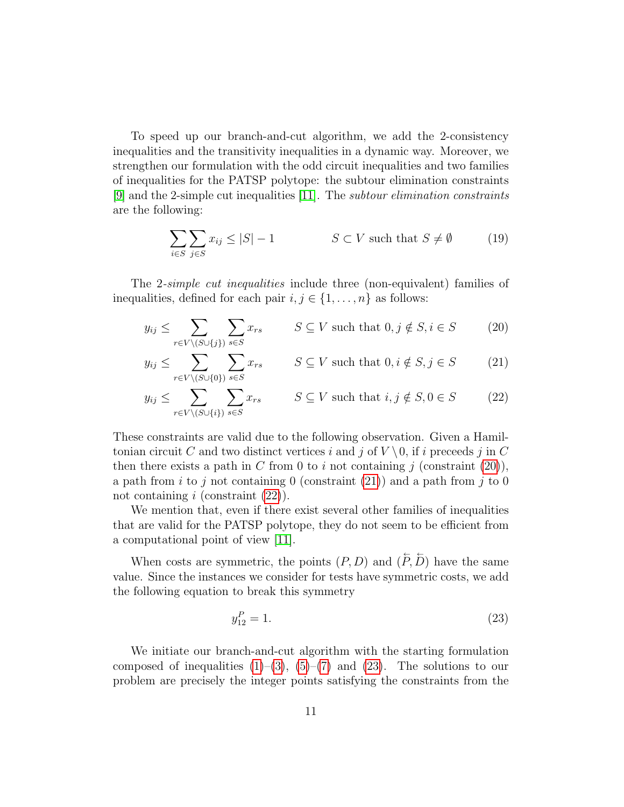To speed up our branch-and-cut algorithm, we add the 2-consistency inequalities and the transitivity inequalities in a dynamic way. Moreover, we strengthen our formulation with the odd circuit inequalities and two families of inequalities for the PATSP polytope: the subtour elimination constraints [\[9\]](#page-18-7) and the 2-simple cut inequalities [\[11\]](#page-18-5). The subtour elimination constraints are the following:

<span id="page-10-4"></span><span id="page-10-1"></span><span id="page-10-0"></span>
$$
\sum_{i \in S} \sum_{j \in S} x_{ij} \le |S| - 1 \qquad S \subset V \text{ such that } S \neq \emptyset \tag{19}
$$

The 2-simple cut inequalities include three (non-equivalent) families of inequalities, defined for each pair  $i, j \in \{1, \ldots, n\}$  as follows:

$$
y_{ij} \le \sum_{r \in V \setminus (S \cup \{j\})} \sum_{s \in S} x_{rs} \qquad S \subseteq V \text{ such that } 0, j \notin S, i \in S \tag{20}
$$

$$
y_{ij} \le \sum_{r \in V \setminus (S \cup \{0\})} \sum_{s \in S} x_{rs} \qquad S \subseteq V \text{ such that } 0, i \notin S, j \in S \tag{21}
$$

$$
y_{ij} \le \sum_{r \in V \setminus (S \cup \{i\})} \sum_{s \in S} x_{rs} \qquad S \subseteq V \text{ such that } i, j \notin S, 0 \in S \tag{22}
$$

These constraints are valid due to the following observation. Given a Hamiltonian circuit C and two distinct vertices i and j of  $V \setminus 0$ , if i preceds j in C then there exists a path in C from 0 to i not containing j (constraint  $(20)$ ), a path from i to j not containing 0 (constraint [\(21\)](#page-10-1)) and a path from j to 0 not containing  $i$  (constraint  $(22)$ ).

We mention that, even if there exist several other families of inequalities that are valid for the PATSP polytope, they do not seem to be efficient from a computational point of view [\[11\]](#page-18-5).

When costs are symmetric, the points  $(P, D)$  and  $(\overline{P}, \overline{D})$  have the same value. Since the instances we consider for tests have symmetric costs, we add the following equation to break this symmetry

<span id="page-10-3"></span><span id="page-10-2"></span>
$$
y_{12}^P = 1.\t\t(23)
$$

We initiate our branch-and-cut algorithm with the starting formulation composed of inequalities  $(1)-(3)$  $(1)-(3)$  $(1)-(3)$ ,  $(5)-(7)$  $(5)-(7)$  $(5)-(7)$  and  $(23)$ . The solutions to our problem are precisely the integer points satisfying the constraints from the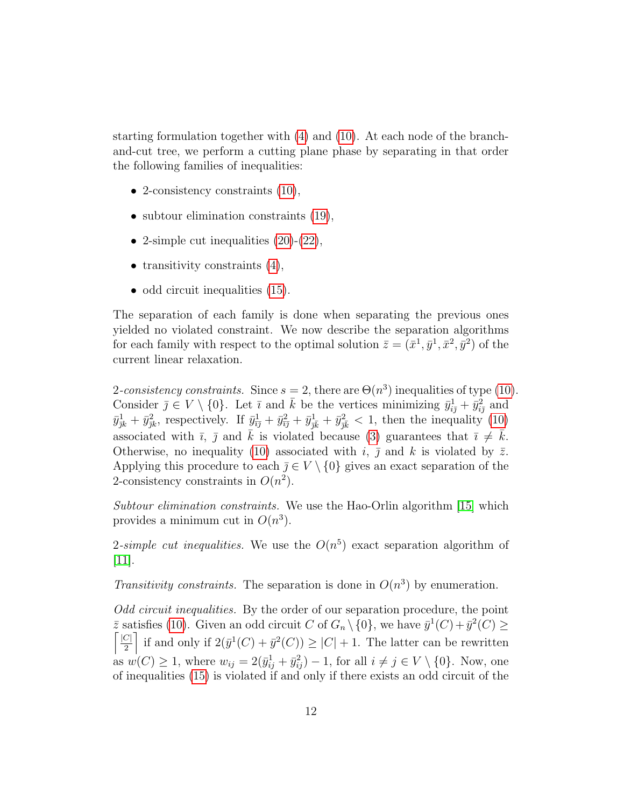starting formulation together with [\(4\)](#page-4-5) and [\(10\)](#page-5-2). At each node of the branchand-cut tree, we perform a cutting plane phase by separating in that order the following families of inequalities:

- 2-consistency constraints  $(10)$ ,
- subtour elimination constraints  $(19)$ ,
- 2-simple cut inequalities  $(20)-(22)$  $(20)-(22)$  $(20)-(22)$ ,
- transitivity constraints  $(4)$ ,
- odd circuit inequalities  $(15)$ .

The separation of each family is done when separating the previous ones yielded no violated constraint. We now describe the separation algorithms for each family with respect to the optimal solution  $\bar{z} = (\bar{x}^1, \bar{y}^1, \bar{x}^2, \bar{y}^2)$  of the current linear relaxation.

2-consistency constraints. Since  $s = 2$ , there are  $\Theta(n^3)$  inequalities of type [\(10\)](#page-5-2). Consider  $\bar{j} \in V \setminus \{0\}$ . Let  $\bar{i}$  and  $\bar{k}$  be the vertices minimizing  $\bar{y}_{i\bar{j}}^1 + \bar{y}_{i\bar{j}}^2$  and  $\bar{y}_{jk}^1 + \bar{y}_{jk}^2$ , respectively. If  $\bar{y}_{\bar{i}\bar{j}}^1 + \bar{y}_{\bar{j}\bar{k}}^2 + \bar{y}_{\bar{j}\bar{k}}^1 + \bar{y}_{\bar{j}\bar{k}}^2 < 1$ , then the inequality [\(10\)](#page-5-2) associated with  $\bar{i}$ ,  $\bar{j}$  and  $\bar{k}$  is violated because [\(3\)](#page-4-4) guarantees that  $\bar{i} \neq \bar{k}$ . Otherwise, no inequality [\(10\)](#page-5-2) associated with i,  $\bar{j}$  and k is violated by  $\bar{z}$ . Applying this procedure to each  $\overline{j} \in V \setminus \{0\}$  gives an exact separation of the 2-consistency constraints in  $O(n^2)$ .

Subtour elimination constraints. We use the Hao-Orlin algorithm [\[15\]](#page-18-8) which provides a minimum cut in  $O(n^3)$ .

2-simple cut inequalities. We use the  $O(n^5)$  exact separation algorithm of  $[11]$ .

Transitivity constraints. The separation is done in  $O(n^3)$  by enumeration.

Odd circuit inequalities. By the order of our separation procedure, the point  $\bar{z}$  satisfies [\(10\)](#page-5-2). Given an odd circuit C of  $G_n \setminus \{0\}$ , we have  $\bar{y}^1(C) + \bar{y}^2(C) \ge$  $\lceil \underline{|C|}$  $\left[\frac{C}{2}\right]$  if and only if  $2(\bar{y}^1(C) + \bar{y}^2(C)) \geq |C| + 1$ . The latter can be rewritten as  $w(C) \geq 1$ , where  $w_{ij} = 2(\bar{y}_{ij}^1 + \bar{y}_{ij}^2) - 1$ , for all  $i \neq j \in V \setminus \{0\}$ . Now, one of inequalities [\(15\)](#page-8-2) is violated if and only if there exists an odd circuit of the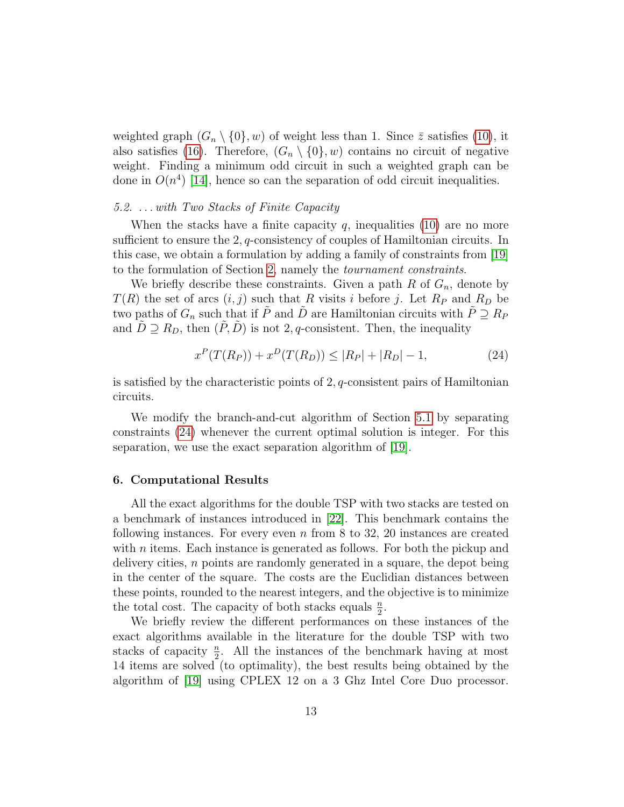weighted graph  $(G_n \setminus \{0\}, w)$  of weight less than 1. Since  $\overline{z}$  satisfies [\(10\)](#page-5-2), it also satisfies [\(16\)](#page-8-1). Therefore,  $(G_n \setminus \{0\}, w)$  contains no circuit of negative weight. Finding a minimum odd circuit in such a weighted graph can be done in  $O(n^4)$  [\[14\]](#page-18-9), hence so can the separation of odd circuit inequalities.

## <span id="page-12-2"></span>5.2. . . . with Two Stacks of Finite Capacity

When the stacks have a finite capacity q, inequalities  $(10)$  are no more sufficient to ensure the  $2, q$ -consistency of couples of Hamiltonian circuits. In this case, we obtain a formulation by adding a family of constraints from [\[19\]](#page-19-2) to the formulation of Section [2,](#page-3-0) namely the tournament constraints.

We briefly describe these constraints. Given a path  $R$  of  $G_n$ , denote by  $T(R)$  the set of arcs  $(i, j)$  such that R visits i before j. Let  $R_P$  and  $R_D$  be two paths of  $G_n$  such that if  $\tilde{P}$  and  $\tilde{D}$  are Hamiltonian circuits with  $\tilde{P} \supseteq R_P$ and  $\tilde{D} \supseteq R_D$ , then  $(\tilde{P}, \tilde{D})$  is not 2, q-consistent. Then, the inequality

<span id="page-12-1"></span>
$$
x^{P}(T(R_{P})) + x^{D}(T(R_{D})) \le |R_{P}| + |R_{D}| - 1,
$$
\n(24)

is satisfied by the characteristic points of 2, q-consistent pairs of Hamiltonian circuits.

We modify the branch-and-cut algorithm of Section [5.1](#page-9-2) by separating constraints [\(24\)](#page-12-1) whenever the current optimal solution is integer. For this separation, we use the exact separation algorithm of [\[19\]](#page-19-2).

#### <span id="page-12-0"></span>6. Computational Results

All the exact algorithms for the double TSP with two stacks are tested on a benchmark of instances introduced in [\[22\]](#page-19-0). This benchmark contains the following instances. For every even  $n \text{ from } 8$  to 32, 20 instances are created with *n* items. Each instance is generated as follows. For both the pickup and delivery cities, n points are randomly generated in a square, the depot being in the center of the square. The costs are the Euclidian distances between these points, rounded to the nearest integers, and the objective is to minimize the total cost. The capacity of both stacks equals  $\frac{n}{2}$ .

We briefly review the different performances on these instances of the exact algorithms available in the literature for the double TSP with two stacks of capacity  $\frac{n}{2}$ . All the instances of the benchmark having at most 14 items are solved (to optimality), the best results being obtained by the algorithm of [\[19\]](#page-19-2) using CPLEX 12 on a 3 Ghz Intel Core Duo processor.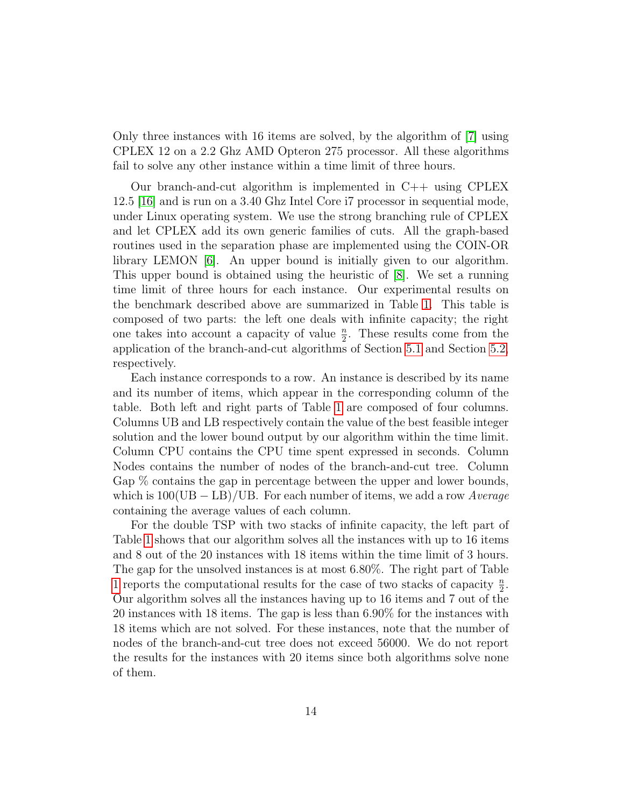Only three instances with 16 items are solved, by the algorithm of [\[7\]](#page-18-2) using CPLEX 12 on a 2.2 Ghz AMD Opteron 275 processor. All these algorithms fail to solve any other instance within a time limit of three hours.

Our branch-and-cut algorithm is implemented in  $C++$  using CPLEX 12.5 [\[16\]](#page-18-10) and is run on a 3.40 Ghz Intel Core i7 processor in sequential mode, under Linux operating system. We use the strong branching rule of CPLEX and let CPLEX add its own generic families of cuts. All the graph-based routines used in the separation phase are implemented using the COIN-OR library LEMON [\[6\]](#page-17-4). An upper bound is initially given to our algorithm. This upper bound is obtained using the heuristic of [\[8\]](#page-18-11). We set a running time limit of three hours for each instance. Our experimental results on the benchmark described above are summarized in Table [1.](#page-14-0) This table is composed of two parts: the left one deals with infinite capacity; the right one takes into account a capacity of value  $\frac{n}{2}$ . These results come from the application of the branch-and-cut algorithms of Section [5.1](#page-9-2) and Section [5.2,](#page-12-2) respectively.

Each instance corresponds to a row. An instance is described by its name and its number of items, which appear in the corresponding column of the table. Both left and right parts of Table [1](#page-14-0) are composed of four columns. Columns UB and LB respectively contain the value of the best feasible integer solution and the lower bound output by our algorithm within the time limit. Column CPU contains the CPU time spent expressed in seconds. Column Nodes contains the number of nodes of the branch-and-cut tree. Column Gap % contains the gap in percentage between the upper and lower bounds, which is  $100(UB - LB)/UB$ . For each number of items, we add a row Average containing the average values of each column.

For the double TSP with two stacks of infinite capacity, the left part of Table [1](#page-14-0) shows that our algorithm solves all the instances with up to 16 items and 8 out of the 20 instances with 18 items within the time limit of 3 hours. The gap for the unsolved instances is at most 6.80%. The right part of Table [1](#page-14-0) reports the computational results for the case of two stacks of capacity  $\frac{n}{2}$ . Our algorithm solves all the instances having up to 16 items and 7 out of the 20 instances with 18 items. The gap is less than 6.90% for the instances with 18 items which are not solved. For these instances, note that the number of nodes of the branch-and-cut tree does not exceed 56000. We do not report the results for the instances with 20 items since both algorithms solve none of them.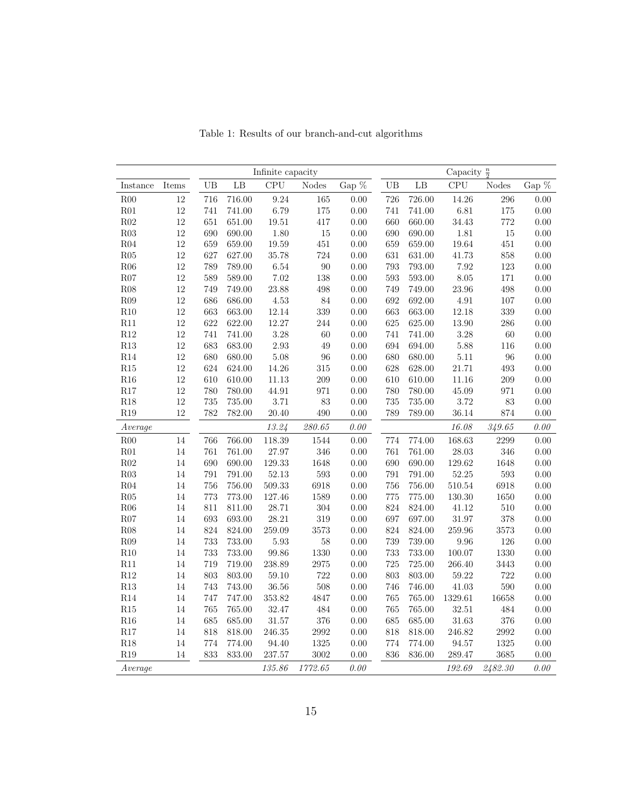<span id="page-14-0"></span>

|                 |              | Infinite capacity |           |            |              |          | Capacity $\frac{n}{2}$ |           |            |         |       |  |
|-----------------|--------------|-------------------|-----------|------------|--------------|----------|------------------------|-----------|------------|---------|-------|--|
| Instance        | $\rm{Items}$ | UB                | $\rm{LB}$ | CPU        | <b>Nodes</b> | Gap $\%$ | UB                     | $\rm{LB}$ | <b>CPU</b> | Nodes   | Gap % |  |
| R00             | 12           | 716               | 716.00    | 9.24       | 165          | 0.00     | 726                    | 726.00    | 14.26      | 296     | 0.00  |  |
| R01             | $12\,$       | 741               | 741.00    | 6.79       | 175          | $0.00\,$ | 741                    | 741.00    | $6.81\,$   | 175     | 0.00  |  |
| R02             | 12           | 651               | 651.00    | 19.51      | 417          | 0.00     | 660                    | 660.00    | $34.43\,$  | 772     | 0.00  |  |
| R03             | 12           | 690               | 690.00    | 1.80       | 15           | 0.00     | 690                    | 690.00    | $1.81\,$   | 15      | 0.00  |  |
| R <sub>04</sub> | 12           | 659               | 659.00    | 19.59      | $451\,$      | 0.00     | 659                    | 659.00    | 19.64      | $451\,$ | 0.00  |  |
| ${\rm R05}$     | 12           | 627               | 627.00    | 35.78      | 724          | 0.00     | 631                    | 631.00    | $41.73\,$  | 858     | 0.00  |  |
| R06             | 12           | 789               | 789.00    | 6.54       | 90           | 0.00     | 793                    | 793.00    | 7.92       | 123     | 0.00  |  |
| R07             | $12\,$       | 589               | 589.00    | 7.02       | 138          | 0.00     | 593                    | 593.00    | 8.05       | 171     | 0.00  |  |
| R08             | $12\,$       | 749               | 749.00    | 23.88      | 498          | 0.00     | 749                    | 749.00    | 23.96      | 498     | 0.00  |  |
| R09             | $12\,$       | 686               | 686.00    | 4.53       | 84           | 0.00     | 692                    | 692.00    | $4.91\,$   | 107     | 0.00  |  |
| R10             | 12           | 663               | 663.00    | 12.14      | 339          | 0.00     | 663                    | 663.00    | 12.18      | 339     | 0.00  |  |
| R11             | $12\,$       | 622               | 622.00    | 12.27      | 244          | 0.00     | 625                    | 625.00    | 13.90      | $286\,$ | 0.00  |  |
| R12             | $12\,$       | 741               | 741.00    | 3.28       | 60           | 0.00     | 741                    | 741.00    | 3.28       | 60      | 0.00  |  |
| R13             | 12           | 683               | 683.00    | 2.93       | 49           | $0.00\,$ | 694                    | 694.00    | 5.88       | 116     | 0.00  |  |
| R14             | $12\,$       | 680               | 680.00    | 5.08       | 96           | 0.00     | 680                    | 680.00    | $5.11\,$   | 96      | 0.00  |  |
| R15             | 12           | 624               | 624.00    | 14.26      | 315          | $0.00\,$ | 628                    | 628.00    | 21.71      | 493     | 0.00  |  |
| R16             | 12           | 610               | 610.00    | $11.13\,$  | 209          | 0.00     | 610                    | 610.00    | 11.16      | 209     | 0.00  |  |
| R17             | 12           | 780               | 780.00    | 44.91      | 971          | 0.00     | 780                    | 780.00    | 45.09      | 971     | 0.00  |  |
| R18             | 12           | 735               | 735.00    | 3.71       | 83           | 0.00     | 735                    | 735.00    | 3.72       | 83      | 0.00  |  |
| R19             | $12\,$       | 782               | 782.00    | 20.40      | 490          | 0.00     | 789                    | 789.00    | 36.14      | 874     | 0.00  |  |
| Average         |              |                   |           | 13.24      | 280.65       | 0.00     |                        |           | 16.08      | 349.65  | 0.00  |  |
| R00             | 14           | 766               | 766.00    | 118.39     | 1544         | 0.00     | 774                    | 774.00    | 168.63     | 2299    | 0.00  |  |
| R01             | 14           | $761\,$           | 761.00    | 27.97      | 346          | 0.00     | 761                    | 761.00    | 28.03      | 346     | 0.00  |  |
| R02             | 14           | 690               | 690.00    | 129.33     | 1648         | 0.00     | 690                    | 690.00    | 129.62     | 1648    | 0.00  |  |
| R03             | 14           | 791               | 791.00    | 52.13      | 593          | 0.00     | 791                    | 791.00    | 52.25      | 593     | 0.00  |  |
| R04             | 14           | 756               | 756.00    | $509.33\,$ | 6918         | 0.00     | 756                    | 756.00    | $510.54\,$ | 6918    | 0.00  |  |
| R05             | 14           | 773               | 773.00    | 127.46     | 1589         | 0.00     | 775                    | 775.00    | 130.30     | 1650    | 0.00  |  |
| R06             | 14           | 811               | 811.00    | 28.71      | 304          | 0.00     | 824                    | 824.00    | 41.12      | 510     | 0.00  |  |
| R07             | $14\,$       | 693               | 693.00    | 28.21      | 319          | 0.00     | 697                    | 697.00    | $31.97\,$  | $378\,$ | 0.00  |  |
| R08             | 14           | 824               | 824.00    | 259.09     | 3573         | 0.00     | 824                    | 824.00    | 259.96     | 3573    | 0.00  |  |
| ${\rm R09}$     | $14\,$       | 733               | 733.00    | 5.93       | 58           | $0.00\,$ | 739                    | 739.00    | 9.96       | 126     | 0.00  |  |
| R10             | 14           | 733               | 733.00    | 99.86      | 1330         | 0.00     | 733                    | 733.00    | 100.07     | 1330    | 0.00  |  |
| R11             | 14           | 719               | 719.00    | 238.89     | 2975         | 0.00     | 725                    | 725.00    | 266.40     | 3443    | 0.00  |  |
| R12             | 14           | 803               | 803.00    | 59.10      | 722          | 0.00     | 803                    | 803.00    | 59.22      | 722     | 0.00  |  |
| R13             | 14           | 743               | 743.00    | 36.56      | 508          | 0.00     | 746                    | 746.00    | 41.03      | 590     | 0.00  |  |
| R14             | 14           | 747               | 747.00    | $353.82\,$ | 4847         | 0.00     | 765                    | 765.00    | 1329.61    | 16658   | 0.00  |  |
| R15             | $14\,$       | 765               | 765.00    | 32.47      | 484          | 0.00     | 765                    | 765.00    | 32.51      | 484     | 0.00  |  |
| R16             | 14           | 685               | 685.00    | $31.57\,$  | 376          | 0.00     | 685                    | 685.00    | $31.63\,$  | 376     | 0.00  |  |
| R17             | $14\,$       | 818               | 818.00    | 246.35     | 2992         | 0.00     | 818                    | 818.00    | 246.82     | 2992    | 0.00  |  |
| R18             | 14           | 774               | 774.00    | 94.40      | 1325         | 0.00     | 774                    | 774.00    | 94.57      | 1325    | 0.00  |  |
| R19             | 14           | 833               | 833.00    | 237.57     | 3002         | 0.00     | 836                    | 836.00    | 289.47     | 3685    | 0.00  |  |
| Average         |              |                   |           | 135.86     | 1772.65      | 0.00     |                        |           | 192.69     | 2482.30 | 0.00  |  |

Table 1: Results of our branch-and-cut algorithms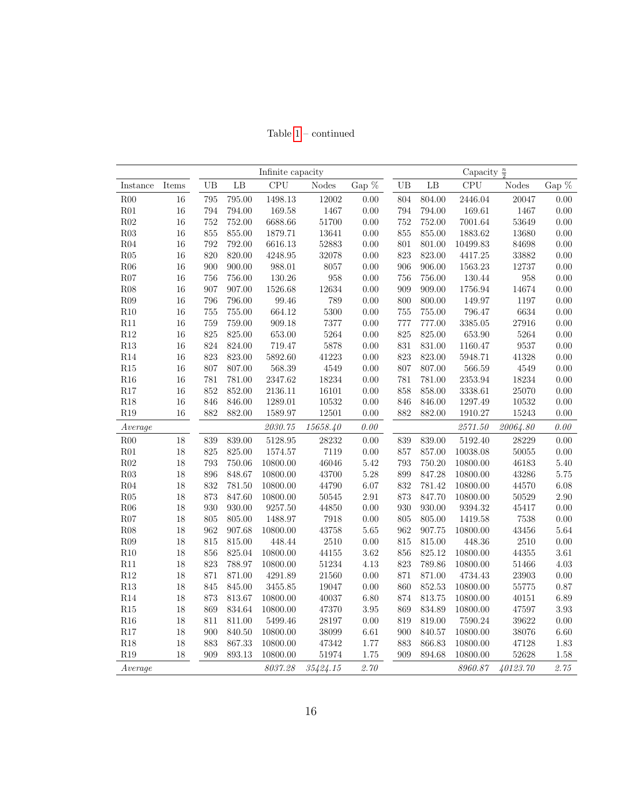Table  $1$  –  $\mbox{continued}$ 

|             |              | Infinite capacity |        |             |              |          | Capacity $\frac{n}{2}$ |        |            |              |          |
|-------------|--------------|-------------------|--------|-------------|--------------|----------|------------------------|--------|------------|--------------|----------|
| Instance    | $\rm{Items}$ | UB                | LB     | CPU         | <b>Nodes</b> | Gap $\%$ | UB                     | LB     | CPU        | <b>Nodes</b> | Gap %    |
| R00         | $16\,$       | 795               | 795.00 | $1498.13\,$ | $12002\,$    | 0.00     | 804                    | 804.00 | 2446.04    | 20047        | 0.00     |
| R01         | $16\,$       | 794               | 794.00 | 169.58      | 1467         | $0.00\,$ | 794                    | 794.00 | 169.61     | 1467         | 0.00     |
| ${\rm R}02$ | 16           | 752               | 752.00 | 6688.66     | 51700        | $0.00\,$ | 752                    | 752.00 | 7001.64    | 53649        | 0.00     |
| R03         | $16\,$       | 855               | 855.00 | 1879.71     | 13641        | $0.00\,$ | 855                    | 855.00 | 1883.62    | 13680        | 0.00     |
| R04         | 16           | 792               | 792.00 | 6616.13     | 52883        | 0.00     | 801                    | 801.00 | 10499.83   | 84698        | 0.00     |
| ${\rm R05}$ | $16\,$       | 820               | 820.00 | 4248.95     | 32078        | 0.00     | 823                    | 823.00 | 4417.25    | 33882        | 0.00     |
| R06         | $16\,$       | 900               | 900.00 | 988.01      | 8057         | $0.00\,$ | 906                    | 906.00 | 1563.23    | $12737\,$    | 0.00     |
| R07         | $16\,$       | 756               | 756.00 | 130.26      | 958          | $0.00\,$ | 756                    | 756.00 | 130.44     | 958          | 0.00     |
| R08         | 16           | 907               | 907.00 | 1526.68     | 12634        | $0.00\,$ | 909                    | 909.00 | 1756.94    | 14674        | 0.00     |
| R09         | 16           | 796               | 796.00 | 99.46       | 789          | 0.00     | 800                    | 800.00 | 149.97     | 1197         | 0.00     |
| R10         | 16           | 755               | 755.00 | 664.12      | 5300         | $0.00\,$ | 755                    | 755.00 | 796.47     | 6634         | 0.00     |
| R11         | 16           | 759               | 759.00 | 909.18      | 7377         | $0.00\,$ | 777                    | 777.00 | 3385.05    | 27916        | 0.00     |
| $\rm R12$   | $16\,$       | 825               | 825.00 | 653.00      | 5264         | $0.00\,$ | 825                    | 825.00 | 653.90     | 5264         | $0.00\,$ |
| R13         | $16\,$       | 824               | 824.00 | 719.47      | 5878         | 0.00     | 831                    | 831.00 | 1160.47    | 9537         | 0.00     |
| R14         | $16\,$       | 823               | 823.00 | 5892.60     | 41223        | 0.00     | 823                    | 823.00 | 5948.71    | 41328        | 0.00     |
| R15         | 16           | 807               | 807.00 | 568.39      | 4549         | $0.00\,$ | 807                    | 807.00 | $566.59\,$ | 4549         | 0.00     |
| R16         | $16\,$       | 781               | 781.00 | 2347.62     | 18234        | $0.00\,$ | 781                    | 781.00 | 2353.94    | 18234        | 0.00     |
| R17         | $16\,$       | 852               | 852.00 | 2136.11     | 16101        | 0.00     | 858                    | 858.00 | 3338.61    | 25070        | 0.00     |
| R18         | 16           | 846               | 846.00 | 1289.01     | 10532        | 0.00     | 846                    | 846.00 | 1297.49    | 10532        | 0.00     |
| R19         | 16           | 882               | 882.00 | 1589.97     | 12501        | 0.00     | 882                    | 882.00 | 1910.27    | 15243        | 0.00     |
| Average     |              |                   |        | 2030.75     | 15658.40     | $0.00\,$ |                        |        | 2571.50    | 20064.80     | 0.00     |
| R00         | $18\,$       | 839               | 839.00 | 5128.95     | 28232        | 0.00     | 839                    | 839.00 | 5192.40    | 28229        | 0.00     |
| R01         | $18\,$       | 825               | 825.00 | 1574.57     | 7119         | $0.00\,$ | 857                    | 857.00 | 10038.08   | $50055\,$    | 0.00     |
| R02         | 18           | 793               | 750.06 | 10800.00    | 46046        | 5.42     | 793                    | 750.20 | 10800.00   | 46183        | 5.40     |
| ${\rm R}03$ | 18           | 896               | 848.67 | 10800.00    | 43700        | $5.28\,$ | 899                    | 847.28 | 10800.00   | 43286        | 5.75     |
| R04         | $18\,$       | 832               | 781.50 | 10800.00    | 44790        | 6.07     | 832                    | 781.42 | 10800.00   | 44570        | 6.08     |
| R05         | 18           | 873               | 847.60 | 10800.00    | $50545\,$    | $2.91\,$ | 873                    | 847.70 | 10800.00   | 50529        | 2.90     |
| R06         | 18           | 930               | 930.00 | 9257.50     | 44850        | 0.00     | 930                    | 930.00 | 9394.32    | 45417        | 0.00     |
| R07         | $18\,$       | 805               | 805.00 | 1488.97     | 7918         | $0.00\,$ | 805                    | 805.00 | 1419.58    | 7538         | 0.00     |
| R08         | 18           | 962               | 907.68 | 10800.00    | 43758        | $5.65\,$ | 962                    | 907.75 | 10800.00   | 43456        | 5.64     |
| R09         | $18\,$       | 815               | 815.00 | 448.44      | 2510         | $0.00\,$ | 815                    | 815.00 | 448.36     | 2510         | 0.00     |
| R10         | 18           | 856               | 825.04 | 10800.00    | 44155        | 3.62     | 856                    | 825.12 | 10800.00   | 44355        | $3.61\,$ |
| R11         | $18\,$       | 823               | 788.97 | 10800.00    | $51234\,$    | $4.13\,$ | 823                    | 789.86 | 10800.00   | 51466        | 4.03     |
| $\rm R12$   | $18\,$       | 871               | 871.00 | 4291.89     | 21560        | $0.00\,$ | 871                    | 871.00 | 4734.43    | 23903        | 0.00     |
| R13         | 18           | 845               | 845.00 | 3455.85     | 19047        | $0.00\,$ | 860                    | 852.53 | 10800.00   | 55775        | 0.87     |
| R14         | 18           | 873               | 813.67 | 10800.00    | 40037        | $6.80\,$ | 874                    | 813.75 | 10800.00   | 40151        | 6.89     |
| R15         | $18\,$       | 869               | 834.64 | 10800.00    | 47370        | $3.95\,$ | 869                    | 834.89 | 10800.00   | 47597        | 3.93     |
| R16         | 18           | 811               | 811.00 | 5499.46     | 28197        | 0.00     | 819                    | 819.00 | 7590.24    | 39622        | 0.00     |
| $\rm R17$   | 18           | 900               | 840.50 | 10800.00    | 38099        | $6.61\,$ | 900                    | 840.57 | 10800.00   | 38076        | $6.60\,$ |
| R18         | 18           | 883               | 867.33 | 10800.00    | 47342        | 1.77     | 883                    | 866.83 | 10800.00   | 47128        | 1.83     |
| R19         | 18           | 909               | 893.13 | 10800.00    | 51974        | 1.75     | 909                    | 894.68 | 10800.00   | 52628        | 1.58     |
| Average     |              |                   |        | 8037.28     | 35424.15     | 2.70     |                        |        | 8960.87    | 40123.70     | 2.75     |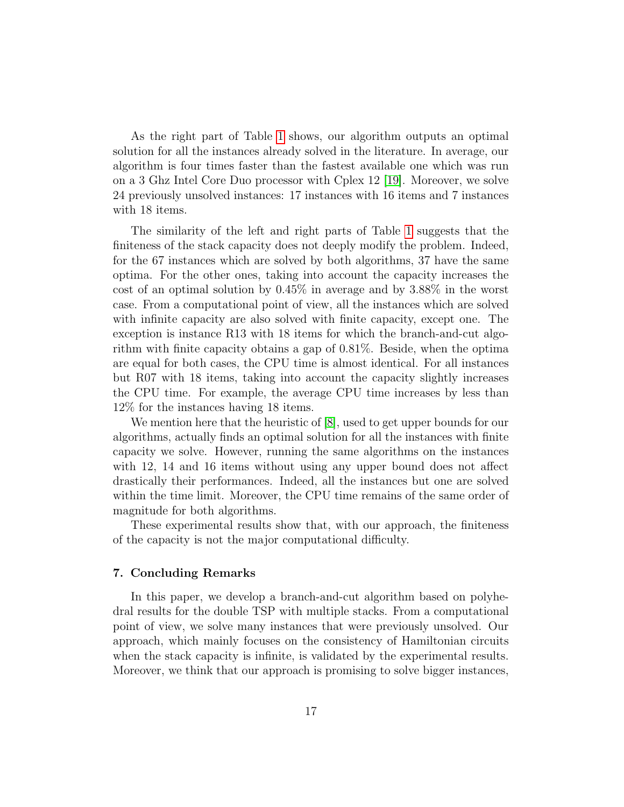As the right part of Table [1](#page-14-0) shows, our algorithm outputs an optimal solution for all the instances already solved in the literature. In average, our algorithm is four times faster than the fastest available one which was run on a 3 Ghz Intel Core Duo processor with Cplex 12 [\[19\]](#page-19-2). Moreover, we solve 24 previously unsolved instances: 17 instances with 16 items and 7 instances with 18 items.

The similarity of the left and right parts of Table [1](#page-14-0) suggests that the finiteness of the stack capacity does not deeply modify the problem. Indeed, for the 67 instances which are solved by both algorithms, 37 have the same optima. For the other ones, taking into account the capacity increases the cost of an optimal solution by 0.45% in average and by 3.88% in the worst case. From a computational point of view, all the instances which are solved with infinite capacity are also solved with finite capacity, except one. The exception is instance R13 with 18 items for which the branch-and-cut algorithm with finite capacity obtains a gap of 0.81%. Beside, when the optima are equal for both cases, the CPU time is almost identical. For all instances but R07 with 18 items, taking into account the capacity slightly increases the CPU time. For example, the average CPU time increases by less than 12% for the instances having 18 items.

We mention here that the heuristic of [\[8\]](#page-18-11), used to get upper bounds for our algorithms, actually finds an optimal solution for all the instances with finite capacity we solve. However, running the same algorithms on the instances with 12, 14 and 16 items without using any upper bound does not affect drastically their performances. Indeed, all the instances but one are solved within the time limit. Moreover, the CPU time remains of the same order of magnitude for both algorithms.

These experimental results show that, with our approach, the finiteness of the capacity is not the major computational difficulty.

#### 7. Concluding Remarks

In this paper, we develop a branch-and-cut algorithm based on polyhedral results for the double TSP with multiple stacks. From a computational point of view, we solve many instances that were previously unsolved. Our approach, which mainly focuses on the consistency of Hamiltonian circuits when the stack capacity is infinite, is validated by the experimental results. Moreover, we think that our approach is promising to solve bigger instances,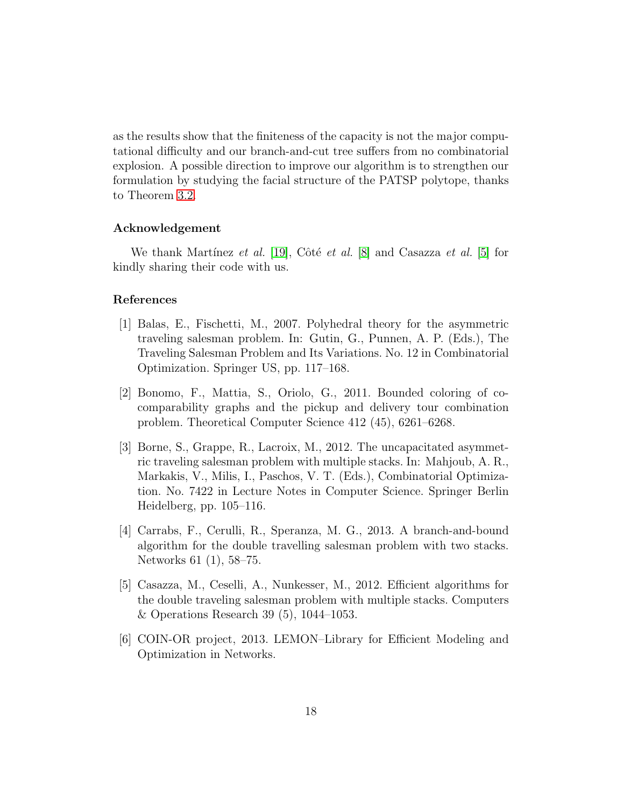as the results show that the finiteness of the capacity is not the major computational difficulty and our branch-and-cut tree suffers from no combinatorial explosion. A possible direction to improve our algorithm is to strengthen our formulation by studying the facial structure of the PATSP polytope, thanks to Theorem [3.2.](#page-6-0)

## Acknowledgement

We thank Martínez et al. [\[19\]](#page-19-2), Côté et al. [\[8\]](#page-18-11) and Casazza et al. [\[5\]](#page-17-1) for kindly sharing their code with us.

## References

- <span id="page-17-5"></span>[1] Balas, E., Fischetti, M., 2007. Polyhedral theory for the asymmetric traveling salesman problem. In: Gutin, G., Punnen, A. P. (Eds.), The Traveling Salesman Problem and Its Variations. No. 12 in Combinatorial Optimization. Springer US, pp. 117–168.
- <span id="page-17-0"></span>[2] Bonomo, F., Mattia, S., Oriolo, G., 2011. Bounded coloring of cocomparability graphs and the pickup and delivery tour combination problem. Theoretical Computer Science 412 (45), 6261–6268.
- <span id="page-17-3"></span>[3] Borne, S., Grappe, R., Lacroix, M., 2012. The uncapacitated asymmetric traveling salesman problem with multiple stacks. In: Mahjoub, A. R., Markakis, V., Milis, I., Paschos, V. T. (Eds.), Combinatorial Optimization. No. 7422 in Lecture Notes in Computer Science. Springer Berlin Heidelberg, pp. 105–116.
- <span id="page-17-2"></span>[4] Carrabs, F., Cerulli, R., Speranza, M. G., 2013. A branch-and-bound algorithm for the double travelling salesman problem with two stacks. Networks 61 (1), 58–75.
- <span id="page-17-1"></span>[5] Casazza, M., Ceselli, A., Nunkesser, M., 2012. Efficient algorithms for the double traveling salesman problem with multiple stacks. Computers & Operations Research 39 (5), 1044–1053.
- <span id="page-17-4"></span>[6] COIN-OR project, 2013. LEMON–Library for Efficient Modeling and Optimization in Networks.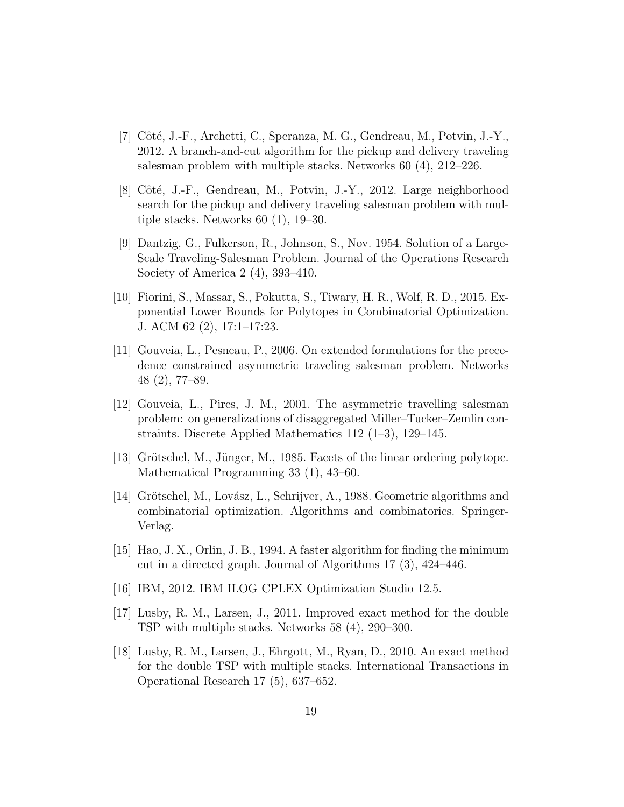- <span id="page-18-2"></span>[7] Côté, J.-F., Archetti, C., Speranza, M. G., Gendreau, M., Potvin, J.-Y., 2012. A branch-and-cut algorithm for the pickup and delivery traveling salesman problem with multiple stacks. Networks 60 (4), 212–226.
- <span id="page-18-11"></span>[8] Côté, J.-F., Gendreau, M., Potvin, J.-Y., 2012. Large neighborhood search for the pickup and delivery traveling salesman problem with multiple stacks. Networks 60 (1), 19–30.
- <span id="page-18-7"></span>[9] Dantzig, G., Fulkerson, R., Johnson, S., Nov. 1954. Solution of a Large-Scale Traveling-Salesman Problem. Journal of the Operations Research Society of America 2 (4), 393–410.
- <span id="page-18-4"></span>[10] Fiorini, S., Massar, S., Pokutta, S., Tiwary, H. R., Wolf, R. D., 2015. Exponential Lower Bounds for Polytopes in Combinatorial Optimization. J. ACM 62 (2), 17:1–17:23.
- <span id="page-18-5"></span>[11] Gouveia, L., Pesneau, P., 2006. On extended formulations for the precedence constrained asymmetric traveling salesman problem. Networks 48 (2), 77–89.
- <span id="page-18-6"></span>[12] Gouveia, L., Pires, J. M., 2001. The asymmetric travelling salesman problem: on generalizations of disaggregated Miller–Tucker–Zemlin constraints. Discrete Applied Mathematics 112 (1–3), 129–145.
- <span id="page-18-3"></span>[13] Grötschel, M., Jünger, M., 1985. Facets of the linear ordering polytope. Mathematical Programming 33 (1), 43–60.
- <span id="page-18-9"></span>[14] Grötschel, M., Lovász, L., Schrijver, A., 1988. Geometric algorithms and combinatorial optimization. Algorithms and combinatorics. Springer-Verlag.
- <span id="page-18-8"></span>[15] Hao, J. X., Orlin, J. B., 1994. A faster algorithm for finding the minimum cut in a directed graph. Journal of Algorithms 17 (3), 424–446.
- <span id="page-18-10"></span>[16] IBM, 2012. IBM ILOG CPLEX Optimization Studio 12.5.
- <span id="page-18-0"></span>[17] Lusby, R. M., Larsen, J., 2011. Improved exact method for the double TSP with multiple stacks. Networks 58 (4), 290–300.
- <span id="page-18-1"></span>[18] Lusby, R. M., Larsen, J., Ehrgott, M., Ryan, D., 2010. An exact method for the double TSP with multiple stacks. International Transactions in Operational Research 17 (5), 637–652.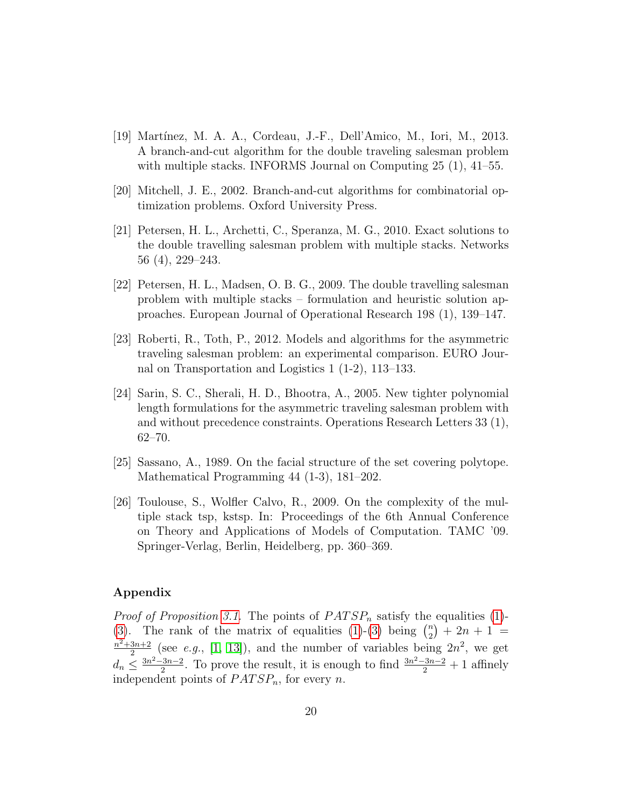- <span id="page-19-2"></span>[19] Mart´ınez, M. A. A., Cordeau, J.-F., Dell'Amico, M., Iori, M., 2013. A branch-and-cut algorithm for the double traveling salesman problem with multiple stacks. INFORMS Journal on Computing 25 (1), 41–55.
- <span id="page-19-7"></span>[20] Mitchell, J. E., 2002. Branch-and-cut algorithms for combinatorial optimization problems. Oxford University Press.
- <span id="page-19-3"></span>[21] Petersen, H. L., Archetti, C., Speranza, M. G., 2010. Exact solutions to the double travelling salesman problem with multiple stacks. Networks 56 (4), 229–243.
- <span id="page-19-0"></span>[22] Petersen, H. L., Madsen, O. B. G., 2009. The double travelling salesman problem with multiple stacks – formulation and heuristic solution approaches. European Journal of Operational Research 198 (1), 139–147.
- <span id="page-19-4"></span>[23] Roberti, R., Toth, P., 2012. Models and algorithms for the asymmetric traveling salesman problem: an experimental comparison. EURO Journal on Transportation and Logistics 1 (1-2), 113–133.
- <span id="page-19-5"></span>[24] Sarin, S. C., Sherali, H. D., Bhootra, A., 2005. New tighter polynomial length formulations for the asymmetric traveling salesman problem with and without precedence constraints. Operations Research Letters 33 (1), 62–70.
- <span id="page-19-6"></span>[25] Sassano, A., 1989. On the facial structure of the set covering polytope. Mathematical Programming 44 (1-3), 181–202.
- <span id="page-19-1"></span>[26] Toulouse, S., Wolfler Calvo, R., 2009. On the complexity of the multiple stack tsp, kstsp. In: Proceedings of the 6th Annual Conference on Theory and Applications of Models of Computation. TAMC '09. Springer-Verlag, Berlin, Heidelberg, pp. 360–369.

## Appendix

*Proof of Proposition [3.1.](#page-6-1)* The points of  $PATSP_n$  satisfy the equalities [\(1\)](#page-4-0)-[\(3\)](#page-4-4). The rank of the matrix of equalities [\(1\)](#page-4-0)-(3) being  $\binom{n}{2} + 2n + 1 =$  $\frac{n^2+3n+2}{2}$  (soo e.g. [1, 13]) and the number of variables being  $\frac{3n+2}{2}$  (see *e.g.*, [\[1,](#page-17-5) [13\]](#page-18-3)), and the number of variables being  $2n^2$ , we get  $d_n \leq \frac{3n^2 - 3n - 2}{2}$  $\frac{23n-2}{2}$ . To prove the result, it is enough to find  $\frac{3n^2-3n-2}{2}+1$  affinely independent points of  $PATSP_n$ , for every n.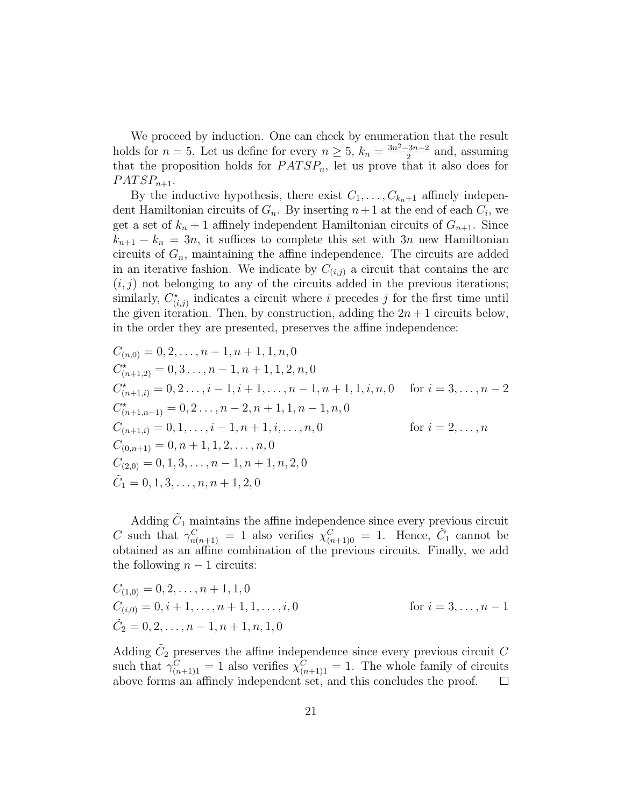We proceed by induction. One can check by enumeration that the result holds for  $n = 5$ . Let us define for every  $n \geq 5$ ,  $k_n = \frac{3n^2 - 3n - 2}{2}$  $\frac{2^{3n-2}}{2}$  and, assuming that the proposition holds for  $PATSP_n$ , let us prove that it also does for  $PATSP_{n+1}$ .

By the inductive hypothesis, there exist  $C_1, \ldots, C_{k_n+1}$  affinely independent Hamiltonian circuits of  $G_n$ . By inserting  $n+1$  at the end of each  $C_i$ , we get a set of  $k_n + 1$  affinely independent Hamiltonian circuits of  $G_{n+1}$ . Since  $k_{n+1} - k_n = 3n$ , it suffices to complete this set with  $3n$  new Hamiltonian circuits of  $G_n$ , maintaining the affine independence. The circuits are added in an iterative fashion. We indicate by  $C_{(i,j)}$  a circuit that contains the arc  $(i, j)$  not belonging to any of the circuits added in the previous iterations; similarly,  $C^*_{(i,j)}$  indicates a circuit where i precedes j for the first time until the given iteration. Then, by construction, adding the  $2n + 1$  circuits below, in the order they are presented, preserves the affine independence:

$$
C_{(n,0)} = 0, 2, \dots, n-1, n+1, 1, n, 0
$$
  
\n
$$
C_{(n+1,2)}^* = 0, 3 \dots, n-1, n+1, 1, 2, n, 0
$$
  
\n
$$
C_{(n+1,i)}^* = 0, 2 \dots, i-1, i+1, \dots, n-1, n+1, 1, i, n, 0 \text{ for } i = 3, \dots, n-2
$$
  
\n
$$
C_{(n+1,n-1)}^* = 0, 2 \dots, n-2, n+1, 1, n-1, n, 0
$$
  
\n
$$
C_{(n+1,i)} = 0, 1, \dots, i-1, n+1, i, \dots, n, 0
$$
  
\n
$$
C_{(0,n+1)} = 0, n+1, 1, 2, \dots, n, 0
$$
  
\n
$$
C_{(2,0)} = 0, 1, 3, \dots, n-1, n+1, n, 2, 0
$$
  
\n
$$
\tilde{C}_1 = 0, 1, 3, \dots, n, n+1, 2, 0
$$

Adding  $\tilde{C}_1$  maintains the affine independence since every previous circuit C such that  $\gamma_{n(n+1)}^C = 1$  also verifies  $\chi_{(n+1)0}^C = 1$ . Hence,  $\tilde{C}_1$  cannot be obtained as an affine combination of the previous circuits. Finally, we add the following  $n-1$  circuits:

$$
C_{(1,0)} = 0, 2, ..., n + 1, 1, 0
$$
  
\n
$$
C_{(i,0)} = 0, i + 1, ..., n + 1, 1, ..., i, 0
$$
 for  $i = 3, ..., n - 1$   
\n
$$
\tilde{C}_2 = 0, 2, ..., n - 1, n + 1, n, 1, 0
$$

Adding  $\tilde{C}_2$  preserves the affine independence since every previous circuit  $C$ such that  $\gamma_{(n+1)1}^C = 1$  also verifies  $\chi_{(n+1)1}^C = 1$ . The whole family of circuits above forms an affinely independent set, and this concludes the proof.  $\Box$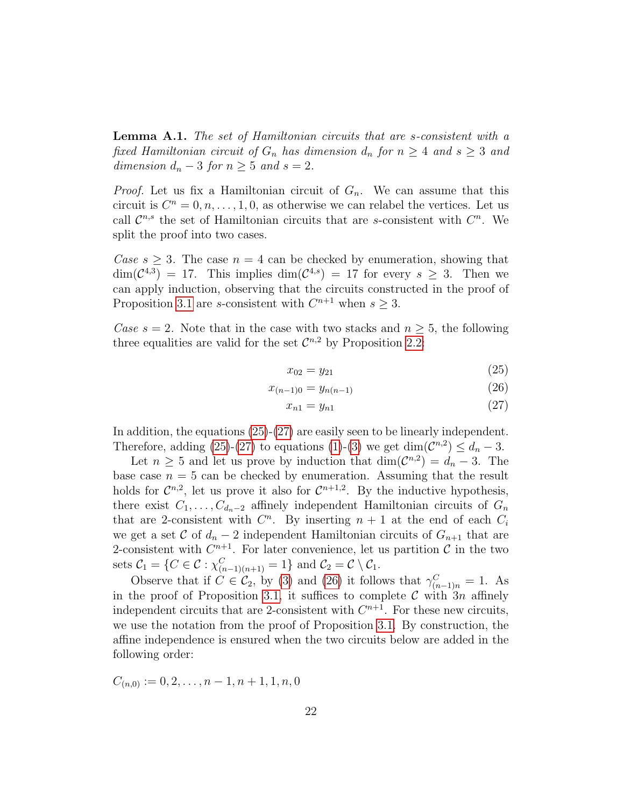<span id="page-21-0"></span>Lemma A.1. The set of Hamiltonian circuits that are s-consistent with a fixed Hamiltonian circuit of  $G_n$  has dimension  $d_n$  for  $n \geq 4$  and  $s \geq 3$  and dimension  $d_n - 3$  for  $n \geq 5$  and  $s = 2$ .

*Proof.* Let us fix a Hamiltonian circuit of  $G_n$ . We can assume that this circuit is  $C^n = 0, n, \ldots, 1, 0$ , as otherwise we can relabel the vertices. Let us call  $\mathcal{C}^{n,s}$  the set of Hamiltonian circuits that are s-consistent with  $C^n$ . We split the proof into two cases.

Case  $s > 3$ . The case  $n = 4$  can be checked by enumeration, showing that  $\dim(\mathcal{C}^{4,3}) = 17$ . This implies  $\dim(\mathcal{C}^{4,s}) = 17$  for every  $s \geq 3$ . Then we can apply induction, observing that the circuits constructed in the proof of Proposition [3.1](#page-6-1) are *s*-consistent with  $C^{n+1}$  when  $s \geq 3$ .

Case  $s = 2$ . Note that in the case with two stacks and  $n \geq 5$ , the following three equalities are valid for the set  $\mathcal{C}^{n,2}$  by Proposition [2.2:](#page-5-1)

<span id="page-21-3"></span><span id="page-21-1"></span>
$$
x_{02} = y_{21} \tag{25}
$$

$$
x_{(n-1)0} = y_{n(n-1)} \tag{26}
$$

<span id="page-21-2"></span>
$$
x_{n1} = y_{n1} \tag{27}
$$

In addition, the equations [\(25\)](#page-21-1)-[\(27\)](#page-21-2) are easily seen to be linearly independent. Therefore, adding [\(25\)](#page-21-1)-[\(27\)](#page-21-2) to equations [\(1\)](#page-4-0)-[\(3\)](#page-4-4) we get  $\dim(\mathcal{C}^{n,2}) \leq d_n - 3$ .

Let  $n \geq 5$  and let us prove by induction that  $\dim(\mathcal{C}^{n,2}) = d_n - 3$ . The base case  $n = 5$  can be checked by enumeration. Assuming that the result holds for  $\mathcal{C}^{n,2}$ , let us prove it also for  $\mathcal{C}^{n+1,2}$ . By the inductive hypothesis, there exist  $C_1, \ldots, C_{d_n-2}$  affinely independent Hamiltonian circuits of  $G_n$ that are 2-consistent with  $C<sup>n</sup>$ . By inserting  $n + 1$  at the end of each  $C<sub>i</sub>$ we get a set C of  $d_n - 2$  independent Hamiltonian circuits of  $G_{n+1}$  that are 2-consistent with  $C^{n+1}$ . For later convenience, let us partition C in the two sets  $C_1 = \{C \in \mathcal{C} : \chi^C_{(n-1)(n+1)} = 1\}$  and  $C_2 = \mathcal{C} \setminus C_1$ .

Observe that if  $C \in \mathcal{C}_2$ , by [\(3\)](#page-4-4) and [\(26\)](#page-21-3) it follows that  $\gamma_{(n-1)n}^C = 1$ . As in the proof of Proposition [3.1,](#page-6-1) it suffices to complete  $\mathcal C$  with  $3n$  affinely independent circuits that are 2-consistent with  $C^{n+1}$ . For these new circuits, we use the notation from the proof of Proposition [3.1.](#page-6-1) By construction, the affine independence is ensured when the two circuits below are added in the following order:

 $C_{(n,0)} := 0, 2, \ldots, n-1, n+1, 1, n, 0$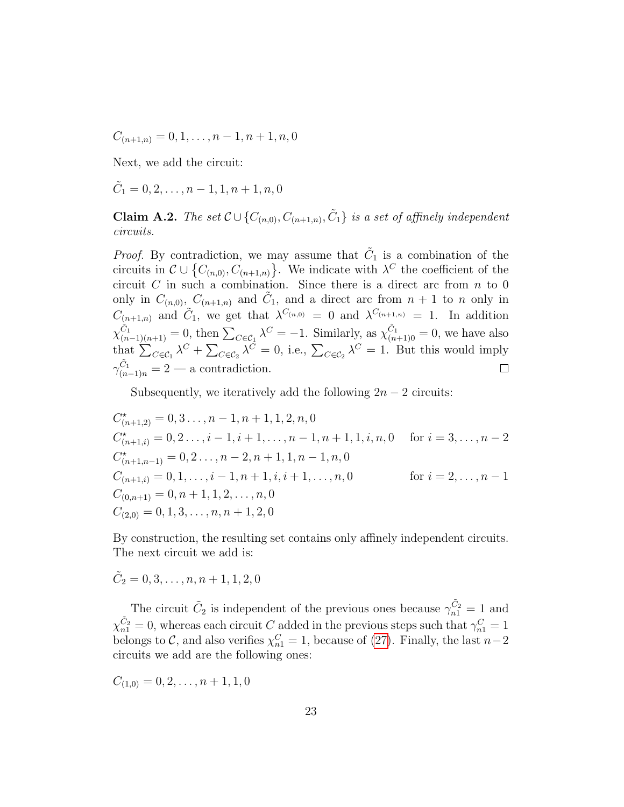$C_{(n+1,n)} = 0, 1, \ldots, n-1, n+1, n, 0$ 

Next, we add the circuit:

 $\tilde{C}_1 = 0, 2, \ldots, n - 1, 1, n + 1, n, 0$ 

**Claim A.2.** The set  $\mathcal{C} \cup \{C_{(n,0)}, C_{(n+1,n)}, \tilde{C}_1\}$  is a set of affinely independent circuits.

*Proof.* By contradiction, we may assume that  $\tilde{C}_1$  is a combination of the circuits in  $\mathcal{C} \cup \{C_{(n,0)}, C_{(n+1,n)}\}$ . We indicate with  $\lambda^C$  the coefficient of the circuit  $C$  in such a combination. Since there is a direct arc from  $n$  to 0 only in  $C_{(n,0)}$ ,  $C_{(n+1,n)}$  and  $\tilde{C}_1$ , and a direct arc from  $n+1$  to n only in  $C_{(n+1,n)}$  and  $\tilde{C}_1$ , we get that  $\lambda^{C_{(n,0)}} = 0$  and  $\lambda^{C_{(n+1,n)}} = 1$ . In addition  $\chi_{(n-1)(n+1)}^{\tilde{C}_1} = 0$ , then  $\sum_{C \in \mathcal{C}_1} \lambda^C = -1$ . Similarly, as  $\chi_{(n+1)0}^{\tilde{C}_1} = 0$ , we have also that  $\sum_{C \in \mathcal{C}_1} \lambda^C + \sum_{C \in \mathcal{C}_2} \lambda^C = 0$ , i.e.,  $\sum_{C \in \mathcal{C}_2} \lambda^C = 1$ . But this would imply  $\gamma_{(n-1)n}^{\tilde{C}_1} = 2$  — a contradiction.  $\Box$ 

Subsequently, we iteratively add the following  $2n - 2$  circuits:

$$
C_{(n+1,2)}^* = 0, 3..., n-1, n+1, 1, 2, n, 0
$$
  
\n
$$
C_{(n+1,i)}^* = 0, 2..., i-1, i+1,..., n-1, n+1, 1, i, n, 0 \text{ for } i = 3,..., n-2
$$
  
\n
$$
C_{(n+1,n-1)}^* = 0, 2..., n-2, n+1, 1, n-1, n, 0
$$
  
\n
$$
C_{(n+1,i)} = 0, 1,..., i-1, n+1, i, i+1,..., n, 0 \text{ for } i = 2,..., n-1
$$
  
\n
$$
C_{(0,n+1)} = 0, n+1, 1, 2,..., n, 0
$$
  
\n
$$
C_{(2,0)} = 0, 1, 3,..., n, n+1, 2, 0
$$

By construction, the resulting set contains only affinely independent circuits. The next circuit we add is:

$$
\tilde{C}_2 = 0, 3, \ldots, n, n + 1, 1, 2, 0
$$

The circuit  $\tilde{C}_2$  is independent of the previous ones because  $\gamma_{n1}^{\tilde{C}_2} = 1$  and  $\chi_{n1}^{\tilde{C}_2}=0$ , whereas each circuit C added in the previous steps such that  $\gamma_{n1}^C=1$ belongs to  $\mathcal{C}$ , and also verifies  $\chi_{n1}^C = 1$ , because of [\(27\)](#page-21-2). Finally, the last  $n-2$ circuits we add are the following ones:

 $C_{(1,0)} = 0, 2, \ldots, n+1, 1, 0$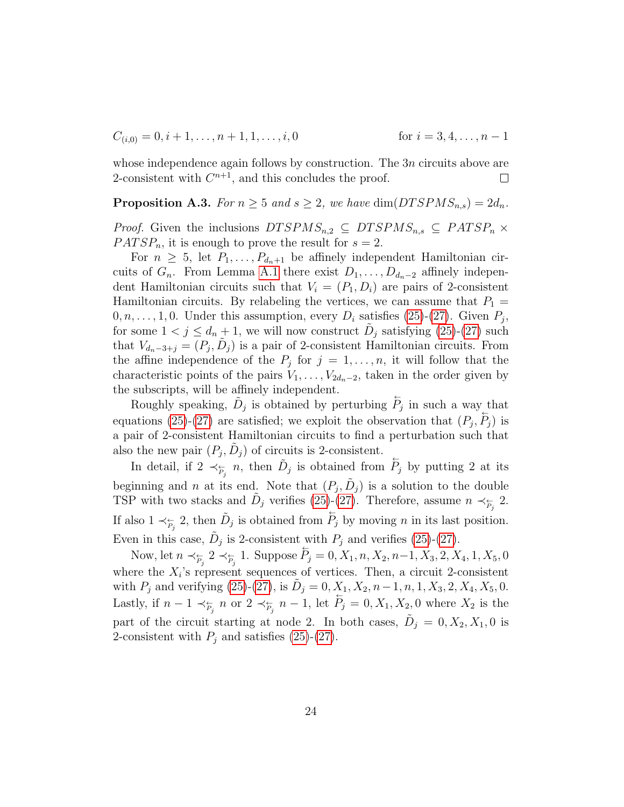$$
C_{(i,0)} = 0, i+1, \dots, n+1, 1, \dots, i, 0
$$
 for  $i = 3, 4, \dots, n-1$ 

whose independence again follows by construction. The  $3n$  circuits above are 2-consistent with  $C^{n+1}$ , and this concludes the proof.  $\Box$ 

## <span id="page-23-0"></span>**Proposition A.3.** For  $n \geq 5$  and  $s \geq 2$ , we have dim(DTSPMS<sub>n,s</sub>) =  $2d_n$ .

*Proof.* Given the inclusions  $DTSPMS_{n,2} \subseteq DTSPMS_{n,s} \subseteq PATSP_n \times P$  $PATSP_n$ , it is enough to prove the result for  $s = 2$ .

For  $n \geq 5$ , let  $P_1, \ldots, P_{d_n+1}$  be affinely independent Hamiltonian circuits of  $G_n$ . From Lemma [A.1](#page-21-0) there exist  $D_1, \ldots, D_{d_n-2}$  affinely independent Hamiltonian circuits such that  $V_i = (P_1, D_i)$  are pairs of 2-consistent Hamiltonian circuits. By relabeling the vertices, we can assume that  $P_1$  =  $0, n, \ldots, 1, 0$ . Under this assumption, every  $D_i$  satisfies [\(25\)](#page-21-1)-[\(27\)](#page-21-2). Given  $P_j$ , for some  $1 < j \leq d_n + 1$ , we will now construct  $\tilde{D}_j$  satisfying [\(25\)](#page-21-1)-[\(27\)](#page-21-2) such that  $V_{d_n-3+j} = (P_j, \tilde{D}_j)$  is a pair of 2-consistent Hamiltonian circuits. From the affine independence of the  $P_j$  for  $j = 1, \ldots, n$ , it will follow that the characteristic points of the pairs  $V_1, \ldots, V_{2d_n-2}$ , taken in the order given by the subscripts, will be affinely independent.

Roughly speaking,  $\tilde{D}_j$  is obtained by perturbing  $\overleftrightarrow{P}_j$  in such a way that equations [\(25\)](#page-21-1)-[\(27\)](#page-21-2) are satisfied; we exploit the observation that  $(P_j, P_j)$  is a pair of 2-consistent Hamiltonian circuits to find a perturbation such that also the new pair  $(P_j, \tilde{D}_j)$  of circuits is 2-consistent.

In detail, if  $2 \prec_{\overline{F}_j} n$ , then  $\tilde{D}_j$  is obtained from  $\overline{P}_j$  by putting 2 at its beginning and *n* at its end. Note that  $(P_j, \tilde{D}_j)$  is a solution to the double TSP with two stacks and  $\tilde{D}_j$  verifies [\(25\)](#page-21-1)-[\(27\)](#page-21-2). Therefore, assume  $n \prec_{\tilde{P}_j} 2$ . If also  $1 \prec_{\overline{P}_j} 2$ , then  $\tilde{D}_j$  is obtained from  $\overline{P}_j$  by moving *n* in its last position. Even in this case,  $\tilde{D}_j$  is 2-consistent with  $P_j$  and verifies [\(25\)](#page-21-1)-[\(27\)](#page-21-2).

Now, let  $n \prec_{\overline{P}_j} 2 \prec_{\overline{P}_j} 1$ . Suppose  $\overline{P}_j = 0, X_1, n, X_2, n-1, X_3, 2, X_4, 1, X_5, 0$ where the  $X_i$ 's represent sequences of vertices. Then, a circuit 2-consistent with  $P_j$  and verifying [\(25\)](#page-21-1)-[\(27\)](#page-21-2), is  $\tilde{D}_j = 0, X_1, X_2, n-1, n, 1, X_3, 2, X_4, X_5, 0$ . Lastly, if  $n-1 \prec_{\overline{P_j}} n$  or  $2 \prec_{\overline{P_j}} n-1$ , let  $\overline{P_j} = 0, X_1, X_2, 0$  where  $X_2$  is the part of the circuit starting at node 2. In both cases,  $\tilde{D}_j = 0, X_2, X_1, 0$  is 2-consistent with  $P_j$  and satisfies [\(25\)](#page-21-1)-[\(27\)](#page-21-2).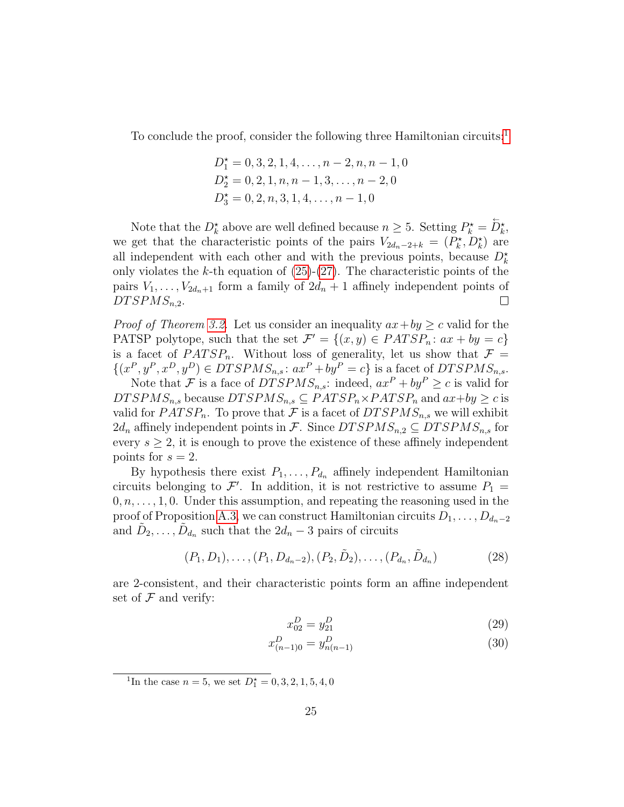To conclude the proof, consider the following three Hamiltonian circuits:<sup>[1](#page-24-0)</sup>

$$
D_1^* = 0, 3, 2, 1, 4, \dots, n - 2, n, n - 1, 0
$$
  
\n
$$
D_2^* = 0, 2, 1, n, n - 1, 3, \dots, n - 2, 0
$$
  
\n
$$
D_3^* = 0, 2, n, 3, 1, 4, \dots, n - 1, 0
$$

Note that the  $D_k^*$  above are well defined because  $n \geq 5$ . Setting  $P_k^* = \overleftarrow{D}_k^*$ , we get that the characteristic points of the pairs  $V_{2d_n-2+k} = (P_k^*, D_k^*)$  are all independent with each other and with the previous points, because  $D_k^*$ only violates the k-th equation of  $(25)-(27)$  $(25)-(27)$  $(25)-(27)$ . The characteristic points of the pairs  $V_1, \ldots, V_{2d_n+1}$  form a family of  $2d_n+1$  affinely independent points of  $D TSPMS_{n,2}$ .  $\Box$ 

*Proof of Theorem [3.2.](#page-6-0)* Let us consider an inequality  $ax + by \geq c$  valid for the PATSP polytope, such that the set  $\mathcal{F}' = \{(x, y) \in PATSP_n : ax + by = c\}$ is a facet of  $PATSP_n$ . Without loss of generality, let us show that  $\mathcal{F} =$  $\{(x^P, y^P, x^D, y^D) \in DTSPMS_{n,s}: ax^P + by^P = c\}$  is a facet of  $DTSPMS_{n,s}$ .

Note that F is a face of  $DTSPMS_{n,s}$ : indeed,  $ax^P + by^P \ge c$  is valid for  $DTSPMS_{n,s}$  because  $DTSPMS_{n,s} \subseteq PATSP_n \times PATSP_n$  and  $ax+by \geq c$  is valid for  $PATSP_n$ . To prove that F is a facet of  $DTSPMS_{n,s}$  we will exhibit  $2d_n$  affinely independent points in F. Since  $DTSPMS_{n,2} \subseteq DTSPMS_{n,s}$  for every  $s \geq 2$ , it is enough to prove the existence of these affinely independent points for  $s = 2$ .

By hypothesis there exist  $P_1, \ldots, P_{d_n}$  affinely independent Hamiltonian circuits belonging to  $\mathcal{F}'$ . In addition, it is not restrictive to assume  $P_1 =$  $0, n, \ldots, 1, 0$ . Under this assumption, and repeating the reasoning used in the proof of Proposition [A.3,](#page-23-0) we can construct Hamiltonian circuits  $D_1, \ldots, D_{d_n-2}$ and  $\tilde{D}_2, \ldots, \tilde{D}_{d_n}$  such that the  $2d_n - 3$  pairs of circuits

$$
(P_1, D_1), \ldots, (P_1, D_{d_n-2}), (P_2, \tilde{D}_2), \ldots, (P_{d_n}, \tilde{D}_{d_n})
$$
\n(28)

are 2-consistent, and their characteristic points form an affine independent set of  $\mathcal F$  and verify:

<span id="page-24-3"></span><span id="page-24-2"></span><span id="page-24-1"></span>
$$
x_{02}^D = y_{21}^D \tag{29}
$$

$$
x_{(n-1)0}^D = y_{n(n-1)}^D \tag{30}
$$

<span id="page-24-0"></span><sup>1</sup>In the case  $n = 5$ , we set  $D_1^* = 0, 3, 2, 1, 5, 4, 0$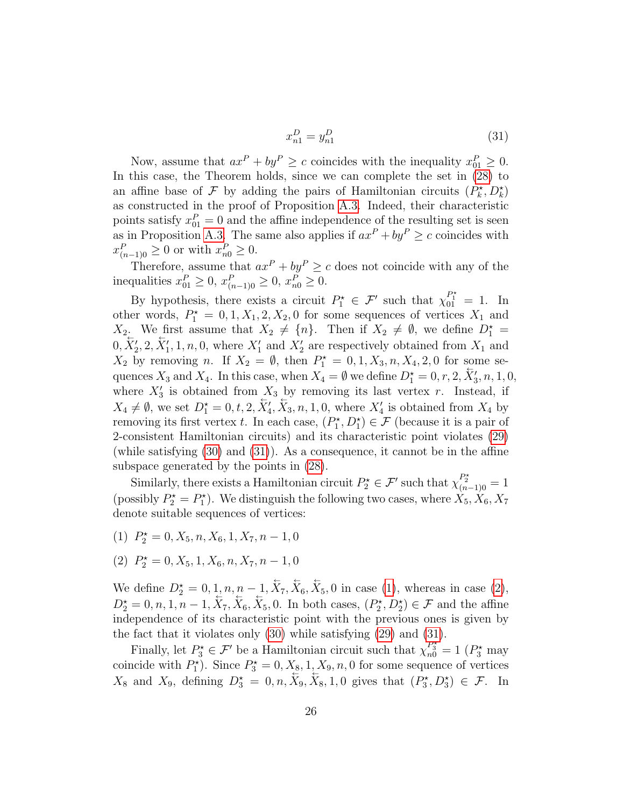<span id="page-25-0"></span>
$$
x_{n1}^D = y_{n1}^D \tag{31}
$$

Now, assume that  $ax^P + by^P \ge c$  coincides with the inequality  $x_{01}^P \ge 0$ . In this case, the Theorem holds, since we can complete the set in [\(28\)](#page-24-1) to an affine base of  $\mathcal F$  by adding the pairs of Hamiltonian circuits  $(P_k^*, D_k^*)$ as constructed in the proof of Proposition [A.3.](#page-23-0) Indeed, their characteristic points satisfy  $x_{01}^P = 0$  and the affine independence of the resulting set is seen as in Proposition [A.3.](#page-23-0) The same also applies if  $ax^P + by^P \ge c$  coincides with  $x_{(n-1)0}^P \geq 0$  or with  $x_{n0}^P \geq 0$ .

 $\tilde{\omega}$ 

Therefore, assume that  $ax^P + by^P \ge c$  does not coincide with any of the inequalities  $x_{01}^P \ge 0$ ,  $x_{(n-1)0}^P \ge 0$ ,  $x_{n0}^P \ge 0$ .

By hypothesis, there exists a circuit  $P_1^* \in \mathcal{F}'$  such that  $\chi_{01}^{P_1^*} = 1$ . In other words,  $P_1^* = 0, 1, X_1, 2, X_2, 0$  for some sequences of vertices  $X_1$  and  $X_2$  We first assume that  $X_2 \neq \{n\}$ . Then if  $X_2 \neq \emptyset$ , we define  $D_1^* =$  $0, \overline{X}'_2, 2, \overline{X}'_1, 1, n, 0$ , where  $X'_1$  and  $X'_2$  are respectively obtained from  $X_1$  and  $X_2$  by removing n. If  $X_2 = \emptyset$ , then  $P_1^* = 0, 1, X_3, n, X_4, 2, 0$  for some sequences  $X_3$  and  $X_4$ . In this case, when  $X_4 = \emptyset$  we define  $D_1^* = 0, r, 2, \overline{X}_3, n, 1, 0,$ where  $X_3'$  is obtained from  $X_3$  by removing its last vertex r. Instead, if  $X_4 \neq \emptyset$ , we set  $D_1^* = 0, t, 2, \overleftarrow{X}_4, \overleftarrow{X}_3, n, 1, 0$ , where  $X'_4$  is obtained from  $X_4$  by removing its first vertex t. In each case,  $(P_1^{\star}, D_1^{\star}) \in \mathcal{F}$  (because it is a pair of 2-consistent Hamiltonian circuits) and its characteristic point violates [\(29\)](#page-24-2) (while satisfying [\(30\)](#page-24-3) and [\(31\)](#page-25-0)). As a consequence, it cannot be in the affine subspace generated by the points in [\(28\)](#page-24-1).

Similarly, there exists a Hamiltonian circuit  $P_2^* \in \mathcal{F}'$  such that  $\chi_{(n-1)0}^{P_2^*} = 1$ (possibly  $P_2^* = P_1^*$ ). We distinguish the following two cases, where  $\hat{X}_5, \hat{X}_6, X_7$ denote suitable sequences of vertices:

- <span id="page-25-1"></span>(1)  $P_2^* = 0, X_5, n, X_6, 1, X_7, n - 1, 0$
- <span id="page-25-2"></span>(2)  $P_2^* = 0, X_5, 1, X_6, n, X_7, n - 1, 0$

We define  $D_2^* = 0, 1, n, n - 1, \overleftarrow{X}_7, \overleftarrow{X}_6, \overleftarrow{X}_5, 0$  in case [\(1\)](#page-25-1), whereas in case [\(2\)](#page-25-2),  $D_2^* = 0, n, 1, n-1, \overleftarrow{X}_7, \overleftarrow{X}_6, \overleftarrow{X}_5, 0$ . In both cases,  $(P_2^*, D_2^*) \in \mathcal{F}$  and the affine independence of its characteristic point with the previous ones is given by the fact that it violates only [\(30\)](#page-24-3) while satisfying [\(29\)](#page-24-2) and [\(31\)](#page-25-0).

Finally, let  $P_3^* \in \mathcal{F}'$  be a Hamiltonian circuit such that  $\chi_{n0}^{P_3^*} = 1$  ( $P_3^*$  may coincide with  $P_1^*$ ). Since  $P_3^* = 0, X_{\underline{8}}, 1, X_9, n, 0$  for some sequence of vertices  $X_8$  and  $X_9$ , defining  $D_3^* = 0, n, X_9, X_8, 1, 0$  gives that  $(P_3^*, D_3^*) \in \mathcal{F}$ . In